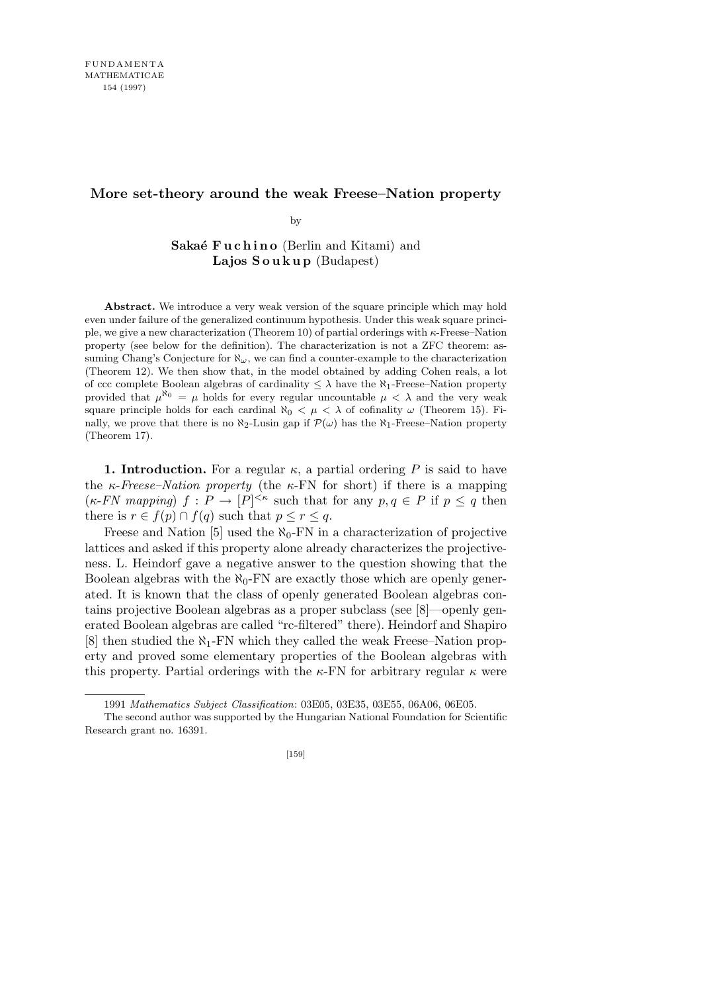## **More set-theory around the weak Freese–Nation property**

by

**Sakaé Fuchino** (Berlin and Kitami) and **Lajos S o u k u p** (Budapest)

**Abstract.** We introduce a very weak version of the square principle which may hold even under failure of the generalized continuum hypothesis. Under this weak square principle, we give a new characterization (Theorem 10) of partial orderings with *κ*-Freese–Nation property (see below for the definition). The characterization is not a ZFC theorem: assuming Chang's Conjecture for  $\aleph_\omega$ , we can find a counter-example to the characterization (Theorem 12). We then show that, in the model obtained by adding Cohen reals, a lot of ccc complete Boolean algebras of cardinality  $\leq \lambda$  have the  $\aleph_1$ -Freese–Nation property provided that  $\mu^{\aleph_0} = \mu$  holds for every regular uncountable  $\mu < \lambda$  and the very weak square principle holds for each cardinal  $\aleph_0 < \mu < \lambda$  of cofinality  $\omega$  (Theorem 15). Finally, we prove that there is no  $\aleph_2$ -Lusin gap if  $\mathcal{P}(\omega)$  has the  $\aleph_1$ -Freese–Nation property (Theorem 17).

**1. Introduction.** For a regular  $\kappa$ , a partial ordering P is said to have the  $\kappa$ -*Freese–Nation property* (the  $\kappa$ -FN for short) if there is a mapping  $(\kappa$ -*FN* mapping)  $f : P \to [P]^{<\kappa}$  such that for any  $p, q \in P$  if  $p \leq q$  then there is  $r \in f(p) \cap f(q)$  such that  $p \leq r \leq q$ .

Freese and Nation [5] used the  $\aleph_0$ -FN in a characterization of projective lattices and asked if this property alone already characterizes the projectiveness. L. Heindorf gave a negative answer to the question showing that the Boolean algebras with the  $\aleph_0$ -FN are exactly those which are openly generated. It is known that the class of openly generated Boolean algebras contains projective Boolean algebras as a proper subclass (see [8]—openly generated Boolean algebras are called "rc-filtered" there). Heindorf and Shapiro [8] then studied the *ℵ*1-FN which they called the weak Freese–Nation property and proved some elementary properties of the Boolean algebras with this property. Partial orderings with the  $\kappa$ -FN for arbitrary regular  $\kappa$  were

<sup>1991</sup> *Mathematics Subject Classification*: 03E05, 03E35, 03E55, 06A06, 06E05.

The second author was supported by the Hungarian National Foundation for Scientific Research grant no. 16391.

<sup>[159]</sup>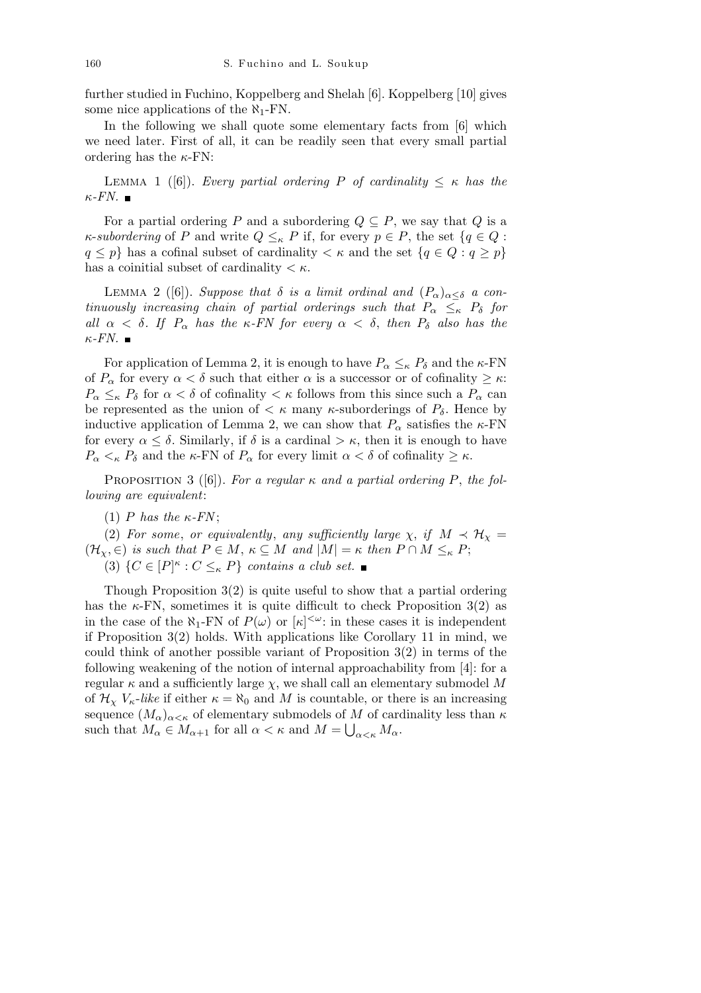further studied in Fuchino, Koppelberg and Shelah [6]. Koppelberg [10] gives some nice applications of the *ℵ*1-FN.

In the following we shall quote some elementary facts from [6] which we need later. First of all, it can be readily seen that every small partial ordering has the *κ*-FN:

**LEMMA** 1 ([6]). *Every partial ordering P of cardinality*  $\leq \kappa$  *has the κ-FN.*

For a partial ordering *P* and a subordering  $Q \subseteq P$ , we say that *Q* is a *κ*-*subordering* of *P* and write  $Q \leq_{\kappa} P$  if, for every  $p \in P$ , the set  $\{q \in Q :$  $q \leq p$ *}* has a cofinal subset of cardinality  $\lt \kappa$  and the set  $\{q \in Q : q \geq p\}$ has a coinitial subset of cardinality *< κ*.

**LEMMA** 2 ([6]). *Suppose that*  $\delta$  *is a limit ordinal and*  $(P_{\alpha})_{\alpha < \delta}$  *a continuously increasing chain of partial orderings such that*  $P_{\alpha} \leq_{\kappa} P_{\delta}$  *for all α < δ. If P<sup>α</sup> has the κ-FN for every α < δ*, *then P<sup>δ</sup> also has the κ-FN.*

For application of Lemma 2, it is enough to have  $P_{\alpha} \leq_{\kappa} P_{\delta}$  and the  $\kappa$ -FN of  $P_\alpha$  for every  $\alpha < \delta$  such that either  $\alpha$  is a successor or of cofinality  $\geq \kappa$ :  $P_{\alpha} \leq_{\kappa} P_{\delta}$  for  $\alpha < \delta$  of cofinality  $\lt \kappa$  follows from this since such a  $P_{\alpha}$  can be represented as the union of  $\lt \kappa$  many  $\kappa$ -suborderings of  $P_\delta$ . Hence by inductive application of Lemma 2, we can show that  $P_\alpha$  satisfies the *κ*-FN for every  $\alpha \leq \delta$ . Similarly, if  $\delta$  is a cardinal  $>\kappa$ , then it is enough to have *P*<sub>α</sub>  $\lt$ <sub>*κ*</sub> *P*<sub>δ</sub> and the *κ*-FN of *P*<sub>α</sub> for every limit  $\alpha \lt \delta$  of cofinality  $\geq \kappa$ .

PROPOSITION 3 ([6]). For a regular  $\kappa$  and a partial ordering P, the fol*lowing are equivalent*:

(1) *P* has the  $\kappa$ -*FN*;

(2) For some, or equivalently, any sufficiently large  $\chi$ , if  $M \prec H_{\chi}$  =  $(\mathcal{H}_{\chi}, \in)$  *is such that*  $P \in M$ ,  $\kappa \subseteq M$  *and*  $|M| = \kappa$  *then*  $P \cap M \leq_{\kappa} P$ ;

(3)  $\{C \in [P]^{\kappa} : C \leq_{\kappa} P\}$  *contains a club set.* 

Though Proposition 3(2) is quite useful to show that a partial ordering has the  $\kappa$ -FN, sometimes it is quite difficult to check Proposition 3(2) as in the case of the  $\aleph_1$ -FN of  $P(\omega)$  or  $[\kappa]^{<\omega}$ : in these cases it is independent if Proposition 3(2) holds. With applications like Corollary 11 in mind, we could think of another possible variant of Proposition  $3(2)$  in terms of the following weakening of the notion of internal approachability from [4]: for a regular  $\kappa$  and a sufficiently large  $\chi$ , we shall call an elementary submodel M of  $\mathcal{H}_{\chi}$   $V_{\kappa}$ -like if either  $\kappa = \aleph_0$  and M is countable, or there is an increasing sequence  $(M_\alpha)_{\alpha<\kappa}$  of elementary submodels of *M* of cardinality less than  $\kappa$ such that  $M_{\alpha} \in M_{\alpha+1}$  for all  $\alpha < \kappa$  and  $M = \bigcup_{\alpha < \kappa} M_{\alpha}$ .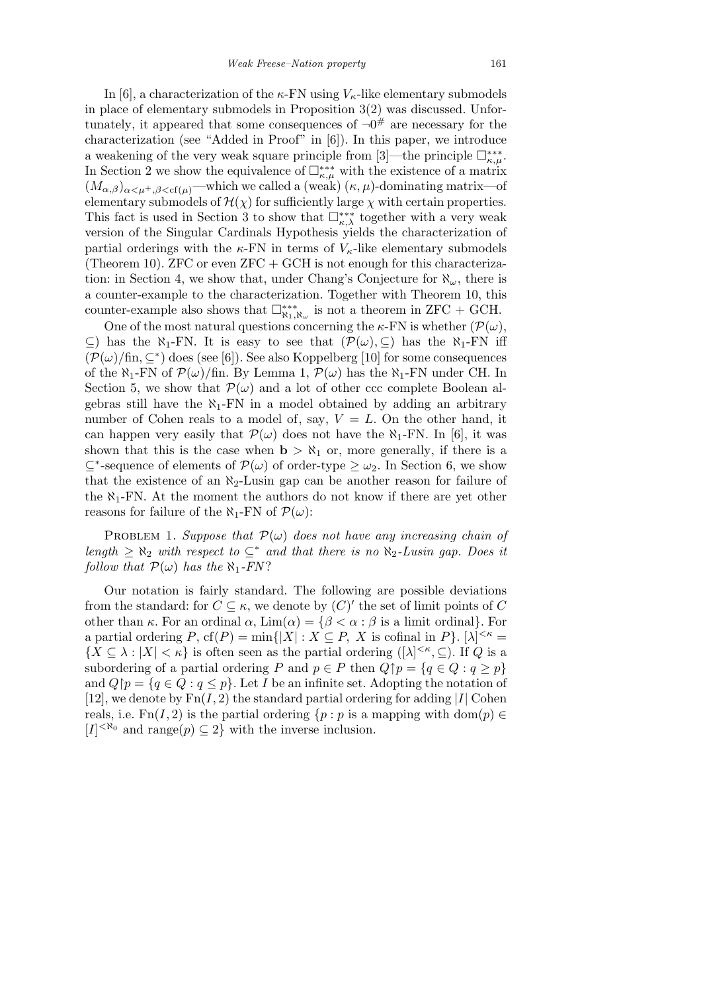In [6], a characterization of the  $\kappa$ -FN using  $V_{\kappa}$ -like elementary submodels in place of elementary submodels in Proposition 3(2) was discussed. Unfortunately, it appeared that some consequences of *¬*0 # are necessary for the characterization (see "Added in Proof" in [6]). In this paper, we introduce a weakening of the very weak square principle from [3]—the principle  $\Box_{\kappa,\mu}^{***}$ . In Section 2 we show the equivalence of  $\Box_{\kappa,\mu}^{***}$  with the existence of a matrix  $(M_{\alpha,\beta})_{\alpha<\mu^+,\beta<\mathrm{cf}(\mu)}$ —which we called a (weak)  $(\kappa,\mu)$ -dominating matrix—of elementary submodels of  $\mathcal{H}(\chi)$  for sufficiently large  $\chi$  with certain properties. This fact is used in Section 3 to show that  $\Box_{\kappa,\lambda}^{***}$  together with a very weak version of the Singular Cardinals Hypothesis yields the characterization of partial orderings with the  $\kappa$ -FN in terms of  $V_{\kappa}$ -like elementary submodels (Theorem 10). ZFC or even  $ZFC + GCH$  is not enough for this characterization: in Section 4, we show that, under Chang's Conjecture for *ℵω*, there is a counter-example to the characterization. Together with Theorem 10, this counter-example also shows that  $\Box_{\aleph_1,\aleph_\omega}^{**}$  is not a theorem in ZFC + GCH.

One of the most natural questions concerning the  $\kappa$ -FN is whether  $(\mathcal{P}(\omega),$ *⊆*) has the *ℵ*1-FN. It is easy to see that (*P*(*ω*)*, ⊆*) has the *ℵ*1-FN iff  $(\mathcal{P}(\omega)/\text{fin}, \subseteq^*)$  does (see [6]). See also Koppelberg [10] for some consequences of the  $\aleph_1$ -FN of  $\mathcal{P}(\omega)/\text{fin}$ . By Lemma 1,  $\mathcal{P}(\omega)$  has the  $\aleph_1$ -FN under CH. In Section 5, we show that  $\mathcal{P}(\omega)$  and a lot of other ccc complete Boolean algebras still have the  $\aleph_1$ -FN in a model obtained by adding an arbitrary number of Cohen reals to a model of, say,  $V = L$ . On the other hand, it can happen very easily that  $\mathcal{P}(\omega)$  does not have the  $\aleph_1$ -FN. In [6], it was shown that this is the case when  $\mathbf{b} > \aleph_1$  or, more generally, if there is a  $\subseteq$ <sup>\*</sup>-sequence of elements of *P*(*ω*) of order-type ≥ *ω*<sub>2</sub>. In Section 6, we show that the existence of an  $\aleph_2$ -Lusin gap can be another reason for failure of the  $\aleph_1$ -FN. At the moment the authors do not know if there are yet other reasons for failure of the  $\aleph_1$ -FN of  $\mathcal{P}(\omega)$ :

PROBLEM 1. *Suppose that*  $\mathcal{P}(\omega)$  *does not have any increasing chain of*  $length \geq \aleph_2$  *with respect to*  $\subseteq^*$  *and that there is no*  $\aleph_2$ -*Lusin gap. Does it follow that*  $P(\omega)$  *has the*  $\aleph_1$ -*FN*?

Our notation is fairly standard. The following are possible deviations from the standard: for  $C \subseteq \kappa$ , we denote by  $(C)'$  the set of limit points of  $C$ other than  $\kappa$ . For an ordinal  $\alpha$ ,  $\lim(\alpha) = {\beta < \alpha : \beta$  is a limit ordinal}. For a partial ordering  $P$ ,  $cf(P) = min\{|X| : X \subseteq P$ ,  $X$  is cofinal in  $P\}$ .  $[\lambda]^{<\kappa} =$  ${X \subseteq \lambda : |X| < \kappa}$  is often seen as the partial ordering  ${(\lambda |^{<\kappa}, \subseteq)}$ . If *Q* is a subordering of a partial ordering *P* and  $p \in P$  then  $Q \uparrow p = \{q \in Q : q \geq p\}$ and  $Q\upharpoonright p = \{q \in Q : q \leq p\}$ . Let *I* be an infinite set. Adopting the notation of [12], we denote by  $\text{Fn}(I, 2)$  the standard partial ordering for adding [*I*] Cohen reals, i.e.  $Fn(I, 2)$  is the partial ordering  $\{p : p$  is a mapping with dom $(p) \in$  $[I] <sup>∗N<sub>0</sub></sup>$  and range(*p*) ⊆ 2} with the inverse inclusion.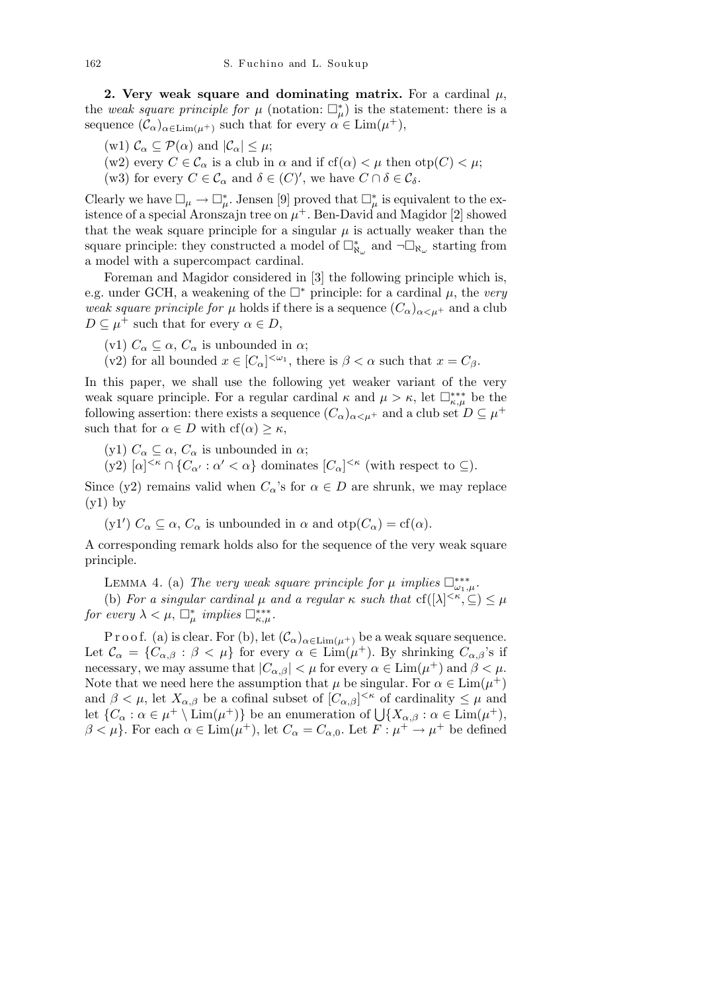**2. Very weak square and dominating matrix.** For a cardinal  $\mu$ , the *weak square principle for*  $\mu$  (notation:  $\Box_{\mu}^{*}$ ) is the statement: there is a sequence  $(\mathcal{C}_{\alpha})_{\alpha \in \text{Lim}(\mu^+)}$  such that for every  $\alpha \in \text{Lim}(\mu^+),$ 

- $(\text{w1}) \mathcal{C}_{\alpha} \subseteq \mathcal{P}(\alpha) \text{ and } |\mathcal{C}_{\alpha}| \leq \mu;$
- (w2) every  $C \in \mathcal{C}_{\alpha}$  is a club in  $\alpha$  and if  $cf(\alpha) < \mu$  then  $otp(C) < \mu$ ;
- (w3) for every  $C \in \mathcal{C}_{\alpha}$  and  $\delta \in (C)^{\prime}$ , we have  $C \cap \delta \in \mathcal{C}_{\delta}$ .

Clearly we have  $\square_{\mu} \to \square_{\mu}^*$ . Jensen [9] proved that  $\square_{\mu}^*$  is equivalent to the existence of a special Aronszajn tree on  $\mu^+$ . Ben-David and Magidor [2] showed that the weak square principle for a singular  $\mu$  is actually weaker than the square principle: they constructed a model of  $\Box^*_{\aleph_\omega}$  and  $\neg \Box_{\aleph_\omega}$  starting from a model with a supercompact cardinal.

Foreman and Magidor considered in [3] the following principle which is, e.g. under GCH, a weakening of the  $\Box^*$  principle: for a cardinal  $\mu$ , the *very weak square principle for*  $\mu$  holds if there is a sequence  $(C_{\alpha})_{\alpha \leq \mu^+}$  and a club  $D \subseteq \mu^+$  such that for every  $\alpha \in D$ ,

- (v1)  $C_{\alpha} \subseteq \alpha$ ,  $C_{\alpha}$  is unbounded in  $\alpha$ ;
- (v2) for all bounded  $x \in [C_\alpha]^{<\omega_1}$ , there is  $\beta < \alpha$  such that  $x = C_\beta$ .

In this paper, we shall use the following yet weaker variant of the very weak square principle. For a regular cardinal  $\kappa$  and  $\mu > \kappa$ , let  $\Box_{\kappa,\mu}^{***}$  be the following assertion: there exists a sequence  $(C_{\alpha})_{\alpha<\mu^+}$  and a club set  $D\subseteq \mu^+$ such that for  $\alpha \in D$  with  $cf(\alpha) \geq \kappa$ 

(y1)  $C_{\alpha} \subseteq \alpha$ ,  $C_{\alpha}$  is unbounded in  $\alpha$ ;

 $(y2)$   $[\alpha]^{<\kappa} \cap \{C_{\alpha'} : \alpha' < \alpha\}$  dominates  $[C_{\alpha}]^{<\kappa}$  (with respect to  $\subseteq$ ).

Since (y2) remains valid when  $C_{\alpha}$ 's for  $\alpha \in D$  are shrunk, we may replace  $(y1)$  by

(y1')  $C_{\alpha} \subseteq \alpha$ ,  $C_{\alpha}$  is unbounded in  $\alpha$  and  $otp(C_{\alpha}) = cf(\alpha)$ .

A corresponding remark holds also for the sequence of the very weak square principle.

LEMMA 4. (a) *The very weak square principle for*  $\mu$  *implies*  $\Box_{\omega_1,\mu}^{***}$ .

(b) *For a singular cardinal*  $\mu$  *and a regular*  $\kappa$  *such that*  $cf(|\lambda|^{<\kappa}, \subseteq) \leq \mu$ *for every*  $\lambda < \mu$ ,  $\Box_{\mu}^{*}$  *implies*  $\Box_{\kappa,\mu}^{***}$ .

P r o o f. (a) is clear. For (b), let  $(\mathcal{C}_{\alpha})_{\alpha \in \text{Lim}(\mu^+)}$  be a weak square sequence. Let  $\mathcal{C}_{\alpha} = \{C_{\alpha,\beta} : \beta < \mu\}$  for every  $\alpha \in \text{Lim}(\mu^+)$ . By shrinking  $C_{\alpha,\beta}$ 's if necessary, we may assume that  $|C_{\alpha,\beta}| < \mu$  for every  $\alpha \in \text{Lim}(\mu^+)$  and  $\beta < \mu$ . Note that we need here the assumption that  $\mu$  be singular. For  $\alpha \in \text{Lim}(\mu^+)$ and  $\beta < \mu$ , let  $X_{\alpha,\beta}$  be a cofinal subset of  $[C_{\alpha,\beta}]^{<\kappa}$  of cardinality  $\leq \mu$  and let  ${C_\alpha : \alpha \in \mu^+ \setminus \text{Lim}(\mu^+)}$  be an enumeration of  $\bigcup \{X_{\alpha,\beta} : \alpha \in \text{Lim}(\mu^+),\}$  $\beta < \mu$ . For each  $\alpha \in \text{Lim}(\mu^+)$ , let  $C_{\alpha} = C_{\alpha,0}$ . Let  $F: \mu^+ \to \mu^+$  be defined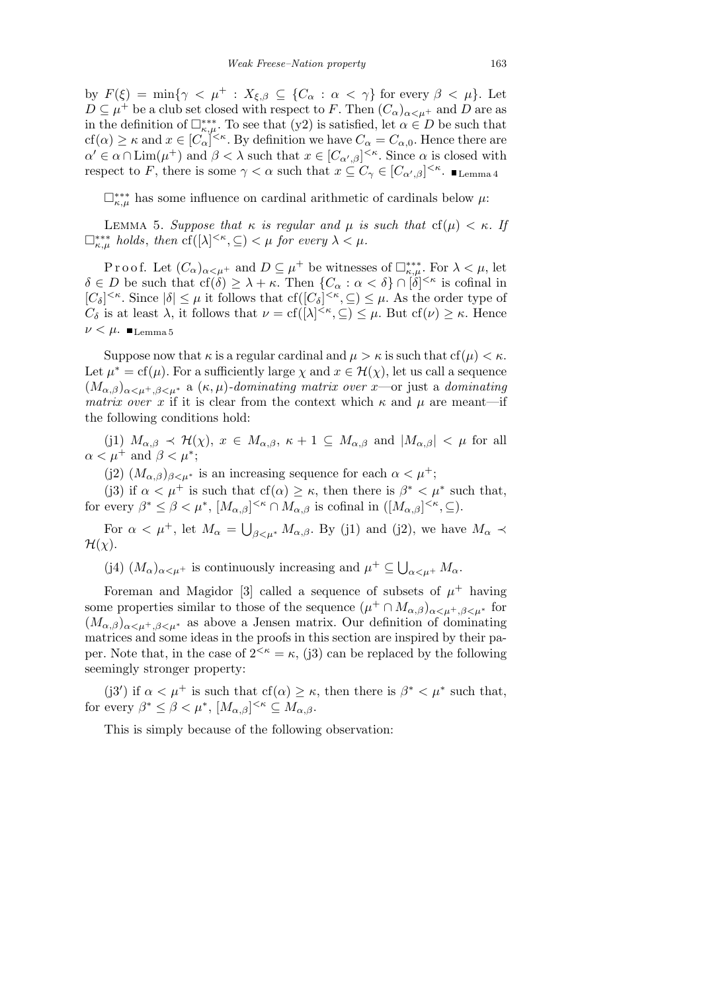by  $F(\xi) = \min\{\gamma < \mu^+ : X_{\xi,\beta} \subseteq \{C_\alpha : \alpha < \gamma\} \text{ for every } \beta < \mu\}.$  Let  $D \subseteq \mu^+$  be a club set closed with respect to *F*. Then  $(C_{\alpha})_{\alpha \leq \mu^+}$  and *D* are as in the definition of  $\Box_{\kappa,\mu}^{**}$ . To see that (y2) is satisfied, let  $\alpha \in D$  be such that  $cf(\alpha) \geq \kappa$  and  $x \in [C_{\alpha}]^{\leq \kappa}$ . By definition we have  $C_{\alpha} = C_{\alpha,0}$ . Hence there are  $\alpha' \in \alpha \cap \text{Lim}(\mu^+)$  and  $\beta < \lambda$  such that  $x \in [C_{\alpha',\beta}]^{<\kappa}$ . Since  $\alpha$  is closed with respect to *F*, there is some  $\gamma < \alpha$  such that  $x \subseteq C_{\gamma} \in [C_{\alpha',\beta}]^{<\kappa}$ .  $\blacksquare_{\text{Lemma 4}}$ 

 $\Box_{\kappa,\mu}^{***}$  has some influence on cardinal arithmetic of cardinals below *μ*:

LEMMA 5. *Suppose that*  $κ$  *is regular and*  $μ$  *is such that* cf( $μ$ )  $lt$   $κ$ *. If*  $\Box_{\kappa,\mu}^{***}$  *holds, then*  $cf([\lambda]^{<\kappa}, \subseteq) < \mu$  for every  $\lambda < \mu$ .

P r o o f. Let  $(C_{\alpha})_{\alpha<\mu^+}$  and  $D\subseteq\mu^+$  be witnesses of  $\Box_{\kappa,\mu}^{***}$ . For  $\lambda<\mu$ , let  $\delta \in D$  be such that  $cf(\delta) \geq \lambda + \kappa$ . Then  $\{C_{\alpha} : \alpha < \delta\} \cap [\delta]^{<\kappa}$  is cofinal in  $[C_{\delta}]^{<\kappa}$ . Since  $|\delta| \leq \mu$  it follows that  $cf([C_{\delta}]^{<\kappa}, \subseteq) \leq \mu$ . As the order type of *C*<sup> $\delta$ </sup> is at least  $\lambda$ , it follows that  $\nu = \text{cf}([\lambda]^{<\kappa}, \subseteq) \leq \mu$ . But  $\text{cf}(\nu) \geq \kappa$ . Hence  $ν < μ$ . Lemma 5

Suppose now that  $\kappa$  is a regular cardinal and  $\mu > \kappa$  is such that cf( $\mu$ )  $< \kappa$ . Let  $\mu^* = \text{cf}(\mu)$ . For a sufficiently large  $\chi$  and  $x \in \mathcal{H}(\chi)$ , let us call a sequence  $(M_{\alpha,\beta})_{\alpha\leq\mu^+,\beta\leq\mu^*}$  a  $(\kappa,\mu)$ *-dominating matrix over x*—or just a *dominating matrix over x* if it is clear from the context which  $\kappa$  and  $\mu$  are meant—if the following conditions hold:

(j1)  $M_{\alpha,\beta} \prec \mathcal{H}(\chi)$ ,  $x \in M_{\alpha,\beta}$ ,  $\kappa + 1 \subseteq M_{\alpha,\beta}$  and  $|M_{\alpha,\beta}| < \mu$  for all  $\alpha < \mu^+$  and  $\beta < \mu^*$ ;

(j2)  $(M_{\alpha,\beta})_{\beta<\mu^*}$  is an increasing sequence for each  $\alpha<\mu^+$ ;

(j3) if  $\alpha < \mu^+$  is such that cf( $\alpha$ )  $\geq \kappa$ , then there is  $\beta^* < \mu^*$  such that, for every  $\beta^* \leq \beta < \mu^*$ ,  $[M_{\alpha,\beta}]^{<\kappa} \cap M_{\alpha,\beta}$  is cofinal in  $([M_{\alpha,\beta}]^{<\kappa}, \subseteq)$ .

For  $\alpha < \mu^+$ , let  $M_\alpha = \bigcup$  $\beta \leq \mu^* M_{\alpha,\beta}$ . By (j1) and (j2), we have  $M_{\alpha} \prec$  $\mathcal{H}(\chi)$ .

(j4)  $(M_{\alpha})_{\alpha<\mu^+}$  is continuously increasing and  $\mu^+\subseteq\bigcup$ *α<µ*<sup>+</sup> *Mα*.

Foreman and Magidor [3] called a sequence of subsets of  $\mu^+$  having some properties similar to those of the sequence  $(\mu^+ \cap M_{\alpha,\beta})_{\alpha < \mu^+,\beta < \mu^*}$  for  $(M_{\alpha,\beta})_{\alpha\leq u^+,\beta\leq u^*}$  as above a Jensen matrix. Our definition of dominating matrices and some ideas in the proofs in this section are inspired by their paper. Note that, in the case of  $2^{< \kappa} = \kappa$ , (j3) can be replaced by the following seemingly stronger property:

(j3') if  $\alpha < \mu^+$  is such that cf( $\alpha$ )  $\geq \kappa$ , then there is  $\beta^* < \mu^*$  such that, for every  $\beta^* \leq \beta < \mu^*$ ,  $[M_{\alpha,\beta}]^{<\kappa} \subseteq M_{\alpha,\beta}$ .

This is simply because of the following observation: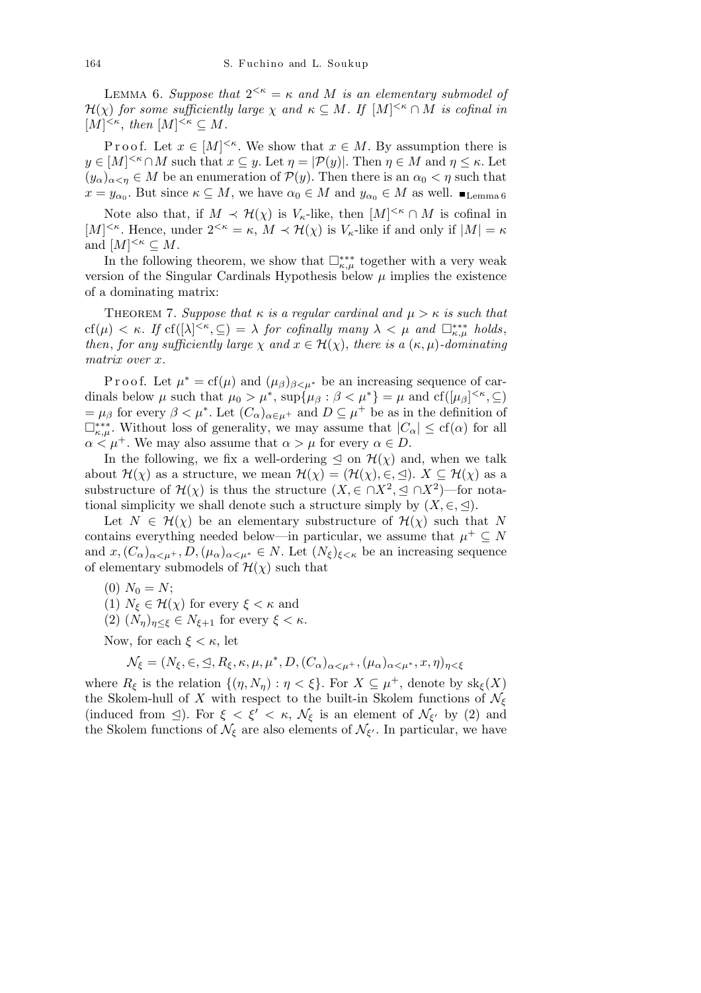LEMMA 6. *Suppose that*  $2^{<\kappa} = \kappa$  *and M is an elementary submodel of H*(*χ*) *for some sufficiently large χ and*  $\kappa \subseteq M$ *. If*  $[M]^{<\kappa} \cap M$  *is cofinal in*  $[M]^{<\kappa}, \text{ then } [M]^{<\kappa} \subseteq M.$ 

Proof. Let  $x \in [M]^{< \kappa}$ . We show that  $x \in M$ . By assumption there is  $y \in [M]^{< \kappa} \cap M$  such that  $x \subseteq y$ . Let  $\eta = |\mathcal{P}(y)|$ . Then  $\eta \in M$  and  $\eta \leq \kappa$ . Let  $(y_\alpha)_{\alpha \leq \eta} \in M$  be an enumeration of  $\mathcal{P}(y)$ . Then there is an  $\alpha_0 < \eta$  such that  $x = y_{\alpha_0}$ . But since  $\kappa \subseteq M$ , we have  $\alpha_0 \in M$  and  $y_{\alpha_0} \in M$  as well.  $\blacksquare_{\text{Lemma 6}}$ 

Note also that, if  $M \prec H(\chi)$  is  $V_{\kappa}$ -like, then  $[M]^{<\kappa} \cap M$  is cofinal in  $[M]^{<\kappa}$ . Hence, under  $2^{<\kappa} = \kappa$ ,  $M \prec \mathcal{H}(\chi)$  is  $V_{\kappa}$ -like if and only if  $|M| = \kappa$ and  $[M]^{<\kappa} \subseteq M$ .

In the following theorem, we show that  $\Box_{\kappa,\mu}^{***}$  together with a very weak version of the Singular Cardinals Hypothesis below  $\mu$  implies the existence of a dominating matrix:

THEOREM 7. *Suppose that*  $\kappa$  *is a regular cardinal and*  $\mu > \kappa$  *is such that*  $cf(\mu) < \kappa$ . If  $cf([\lambda]^{<\kappa}, \subseteq) = \lambda$  for cofinally many  $\lambda < \mu$  and  $\Box_{\kappa,\mu}^{***}$  holds, *then, for any sufficiently large*  $\chi$  *and*  $x \in \mathcal{H}(\chi)$ *, there is a*  $(\kappa, \mu)$ *-dominating matrix over x.*

P r o o f. Let  $\mu^* = cf(\mu)$  and  $(\mu_\beta)_{\beta<\mu^*}$  be an increasing sequence of cardinals below  $\mu$  such that  $\mu_0 > \mu^*$ ,  $\sup{\{\mu_\beta : \beta < \mu^*\}} = \mu$  and  $cf{\left(\mu_\beta\right)}^{<\kappa}, \subseteq$  $= \mu_{\beta}$  for every  $\beta < \mu^*$ . Let  $(C_{\alpha})_{\alpha \in \mu^+}$  and  $D \subseteq \mu^+$  be as in the definition of  $\Box_{\kappa,\mu}^{***}$ . Without loss of generality, we may assume that  $|C_{\alpha}|$  ≤ cf(*α*) for all  $\alpha < \mu^+$ . We may also assume that  $\alpha > \mu$  for every  $\alpha \in D$ .

In the following, we fix a well-ordering  $\leq$  on  $\mathcal{H}(\chi)$  and, when we talk about  $\mathcal{H}(\chi)$  as a structure, we mean  $\mathcal{H}(\chi) = (\mathcal{H}(\chi), \in, \leq)$ .  $X \subseteq \mathcal{H}(\chi)$  as a substructure of  $\mathcal{H}(\chi)$  is thus the structure  $(X, \in \cap X^2, \leq \cap X^2)$ —for notational simplicity we shall denote such a structure simply by  $(X, \in, \leq)$ .

Let  $N \in \mathcal{H}(\chi)$  be an elementary substructure of  $\mathcal{H}(\chi)$  such that N contains everything needed below—in particular, we assume that  $\mu^+ \subseteq N$ and  $x, (C_{\alpha})_{\alpha \leq \mu^+}, D, (\mu_{\alpha})_{\alpha \leq \mu^*} \in N$ . Let  $(N_{\xi})_{\xi \leq \kappa}$  be an increasing sequence of elementary submodels of  $\mathcal{H}(\chi)$  such that

- $(0)$   $N_0 = N$ ;
- (1)  $N_{\xi} \in \mathcal{H}(\chi)$  for every  $\xi < \kappa$  and
- (2)  $(N_n)_{n \leq \xi} \in N_{\xi+1}$  for every  $\xi < \kappa$ .

Now, for each  $\xi < \kappa$ , let

$$
\mathcal{N}_{\xi} = (N_{\xi}, \in, \leq, R_{\xi}, \kappa, \mu, \mu^*, D, (C_{\alpha})_{\alpha < \mu^+}, (\mu_{\alpha})_{\alpha < \mu^*}, x, \eta)_{\eta < \xi}
$$

where  $R_{\xi}$  is the relation  $\{(\eta, N_{\eta}) : \eta < \xi\}$ . For  $X \subseteq \mu^{+}$ , denote by  $sk_{\xi}(X)$ the Skolem-hull of *X* with respect to the built-in Skolem functions of  $\mathcal{N}_{\xi}$ (induced from  $\leq$ ). For  $\xi < \xi' < \kappa$ ,  $\mathcal{N}_{\xi}$  is an element of  $\mathcal{N}_{\xi'}$  by (2) and the Skolem functions of  $\mathcal{N}_{\xi}$  are also elements of  $\mathcal{N}_{\xi'}$ . In particular, we have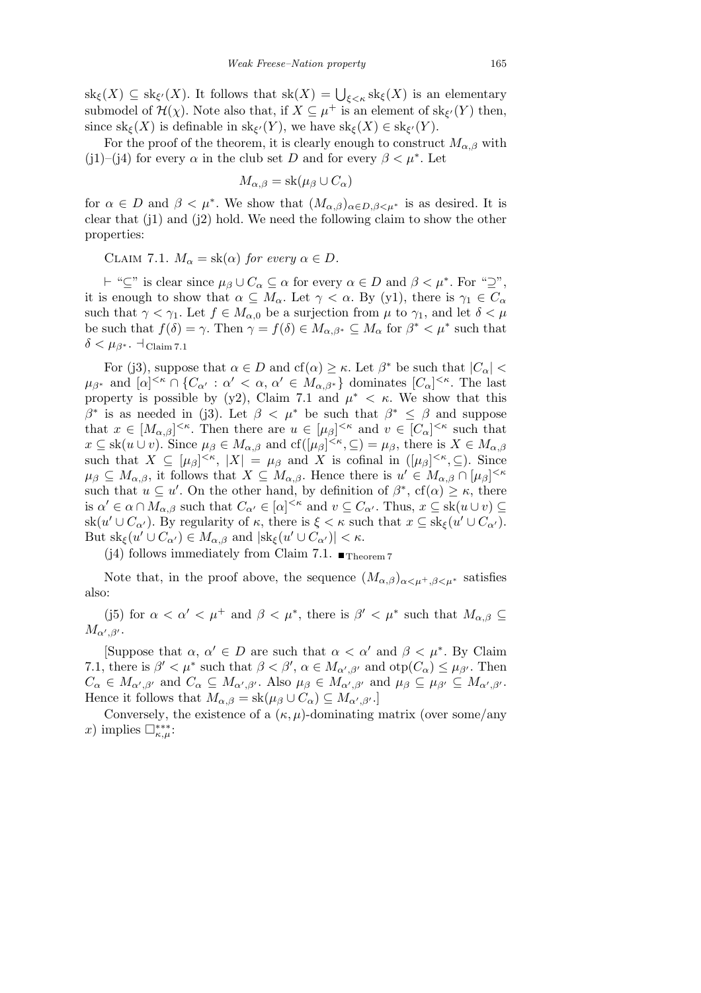$\operatorname{sk}_{\xi}(X) \subseteq \operatorname{sk}_{\xi'}(X)$ . It follows that  $\operatorname{sk}(X) = \bigcup_{\xi < \kappa} \operatorname{sk}_{\xi}(X)$  is an elementary submodel of  $\mathcal{H}(\chi)$ . Note also that, if  $X \subseteq \mu^+$  is an element of sk<sub> $\xi'$ </sub> $(Y)$  then, since  $\text{sk}_{\xi}(X)$  is definable in  $\text{sk}_{\xi'}(Y)$ , we have  $\text{sk}_{\xi}(X) \in \text{sk}_{\xi'}(Y)$ .

For the proof of the theorem, it is clearly enough to construct  $M_{\alpha,\beta}$  with (j1)–(j4) for every  $\alpha$  in the club set *D* and for every  $\beta < \mu^*$ . Let

$$
M_{\alpha,\beta} = \text{sk}(\mu_{\beta} \cup C_{\alpha})
$$

for  $\alpha \in D$  and  $\beta < \mu^*$ . We show that  $(M_{\alpha,\beta})_{\alpha \in D, \beta \leq \mu^*}$  is as desired. It is clear that  $(i)$  and  $(i)$  hold. We need the following claim to show the other properties:

CLAIM 7.1.  $M_{\alpha} = \text{sk}(\alpha)$  for every  $\alpha \in D$ .

 $\dashv$  "*⊆*" is clear since  $\mu_{\beta} \cup C_{\alpha} \subseteq \alpha$  for every  $\alpha \in D$  and  $\beta < \mu^*$ . For "*⊇*", it is enough to show that  $\alpha \subseteq M_\alpha$ . Let  $\gamma < \alpha$ . By (y1), there is  $\gamma_1 \in C_\alpha$ such that  $\gamma < \gamma_1$ . Let  $f \in M_{\alpha,0}$  be a surjection from  $\mu$  to  $\gamma_1$ , and let  $\delta < \mu$ be such that  $f(\delta) = \gamma$ . Then  $\gamma = f(\delta) \in M_{\alpha,\beta^*} \subseteq M_\alpha$  for  $\beta^* < \mu^*$  such that  $\delta < \mu_{\beta^*}$ .  $\dashv_{\text{Claim 7.1}}$ 

For (j3), suppose that  $\alpha \in D$  and  $cf(\alpha) \geq \kappa$ . Let  $\beta^*$  be such that  $|C_{\alpha}|$  $\mu_{\beta^*}$  and  $[\alpha]^{<\kappa} \cap \{C_{\alpha'} : \alpha' < \alpha, \alpha' \in M_{\alpha,\beta^*}\}\$  dominates  $[C_{\alpha}]^{<\kappa}$ . The last property is possible by (y2), Claim 7.1 and  $\mu^* < \kappa$ . We show that this *β*<sup>\*</sup> is as needed in (j3). Let  $β < μ^*$  be such that  $β^* \le β$  and suppose that  $x \in [M_{\alpha,\beta}]^{<\kappa}$ . Then there are  $u \in [\mu_{\beta}]^{<\kappa}$  and  $v \in [C_{\alpha}]^{<\kappa}$  such that  $x \subseteq sk(u \cup v)$ . Since  $\mu_{\beta} \in M_{\alpha,\beta}$  and  $cf([\mu_{\beta}]^{\leq \kappa}, \subseteq) = \mu_{\beta}$ , there is  $X \in M_{\alpha,\beta}$ such that  $X \subseteq [\mu_\beta]^{<\kappa}, |X| = \mu_\beta$  and *X* is cofinal in  $([\mu_\beta]^{<\kappa}, \subseteq)$ . Since  $\mu_{\beta} \subseteq M_{\alpha,\beta}$ , it follows that  $X \subseteq M_{\alpha,\beta}$ . Hence there is  $u' \in M_{\alpha,\beta} \cap [\mu_{\beta}]^{< \kappa}$ such that  $u \subseteq u'$ . On the other hand, by definition of  $\beta^*$ , cf( $\alpha$ )  $\geq \kappa$ , there is  $\alpha' \in \alpha \cap M_{\alpha,\beta}$  such that  $C_{\alpha'} \in [\alpha]^{<\kappa}$  and  $v \subseteq C_{\alpha'}$ . Thus,  $x \subseteq sk(u \cup v) \subseteq$  $\operatorname{sk}(u' \cup C_{\alpha'})$ . By regularity of *κ*, there is  $\xi < \kappa$  such that  $x \subseteq \operatorname{sk}_{\xi}(u' \cup C_{\alpha'})$ . But  $\text{sk}_{\xi}(u' \cup C_{\alpha'}) \in M_{\alpha,\beta}$  and  $|\text{sk}_{\xi}(u' \cup C_{\alpha'})| < \kappa$ .

(j4) follows immediately from Claim 7.1.  $\blacksquare$ Theorem 7

Note that, in the proof above, the sequence  $(M_{\alpha,\beta})_{\alpha\leq u^+,\beta\leq u^*}$  satisfies also:

(j5) for  $\alpha < \alpha' < \mu^+$  and  $\beta < \mu^*$ , there is  $\beta' < \mu^*$  such that  $M_{\alpha,\beta} \subseteq$  $M_{\alpha',\beta'}$ .

[Suppose that  $\alpha$ ,  $\alpha' \in D$  are such that  $\alpha < \alpha'$  and  $\beta < \mu^*$ . By Claim 7.1, there is  $\beta' < \mu^*$  such that  $\beta < \beta'$ ,  $\alpha \in M_{\alpha',\beta'}$  and  $otp(C_{\alpha}) \leq \mu_{\beta'}$ . Then  $C_{\alpha} \in M_{\alpha',\beta'}$  and  $C_{\alpha} \subseteq M_{\alpha',\beta'}$ . Also  $\mu_{\beta} \in M_{\alpha',\beta'}$  and  $\mu_{\beta} \subseteq \mu_{\beta'} \subseteq M_{\alpha',\beta'}$ . Hence it follows that  $M_{\alpha,\beta} = \text{sk}(\mu_{\beta} \cup C_{\alpha}) \subseteq M_{\alpha',\beta'}$ .

Conversely, the existence of a  $(\kappa, \mu)$ -dominating matrix (over some/any  $(x)$  implies  $\Box_{\kappa,\mu}^{***}$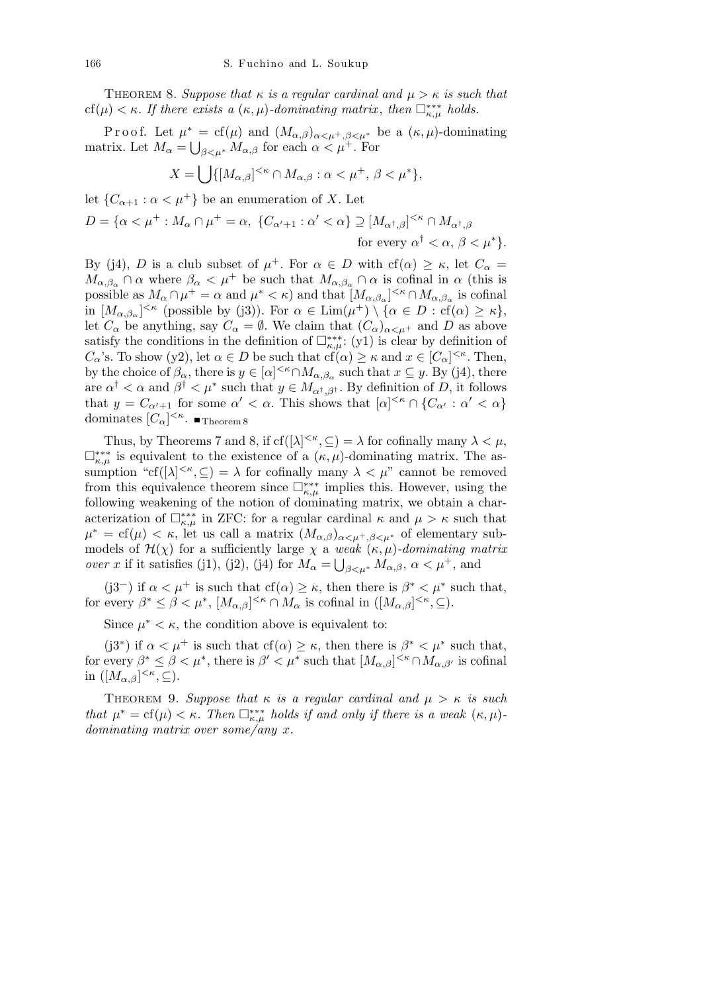THEOREM 8. *Suppose that*  $\kappa$  *is a regular cardinal and*  $\mu > \kappa$  *is such that*  $cf(\mu) < \kappa$ . If there exists a  $(\kappa, \mu)$ -dominating matrix, then  $\Box_{\kappa, \mu}^{***}$  holds.

Proof. Let  $\mu^* = cf(\mu)$  and  $(M_{\alpha,\beta})_{\alpha<\mu^+,\beta<\mu^*}$  be a  $(\kappa,\mu)$ -dominating matrix. Let  $M_{\alpha} = \bigcup_{\beta \leq \mu^*} M_{\alpha,\beta}$  for each  $\alpha \leq \mu^+$ . For

$$
X = \bigcup \{ [M_{\alpha,\beta}]^{<\kappa} \cap M_{\alpha,\beta} : \alpha < \mu^+, \beta < \mu^* \},
$$

let  ${C_{\alpha+1} : \alpha < \mu^+}$  be an enumeration of *X*. Let

$$
D = \{ \alpha < \mu^+ : M_\alpha \cap \mu^+ = \alpha, \ \{ C_{\alpha'+1} : \alpha' < \alpha \} \supseteq [M_{\alpha^{\dagger}, \beta}]^{<\kappa} \cap M_{\alpha^{\dagger}, \beta}
$$
\nfor every  $\alpha^{\dagger} < \alpha, \beta < \mu^* \}$ .

By (j4), *D* is a club subset of  $\mu^+$ . For  $\alpha \in D$  with cf( $\alpha$ )  $\geq \kappa$ , let  $C_{\alpha}$  =  $M_{\alpha,\beta_{\alpha}} \cap \alpha$  where  $\beta_{\alpha} < \mu^{+}$  be such that  $M_{\alpha,\beta_{\alpha}} \cap \alpha$  is cofinal in  $\alpha$  (this is possible as  $M_{\alpha} \cap \mu^{+} = \alpha$  and  $\mu^{*} < \kappa$ ) and that  $[M_{\alpha,\beta_{\alpha}}]^{<\kappa} \cap M_{\alpha,\beta_{\alpha}}$  is cofinal  $\lim (M_{\alpha,\beta_{\alpha}})^{<\kappa}$  (possible by (j3)). For  $\alpha \in \lim(\mu^{+}) \setminus \{\alpha \in D : \text{cf}(\alpha) \geq \kappa\},\}$ let  $C_{\alpha}$  be anything, say  $C_{\alpha} = \emptyset$ . We claim that  $(C_{\alpha})_{\alpha \leq \mu^{+}}$  and D as above satisfy the conditions in the definition of  $\Box_{\kappa,\mu}^{**}: (y1)$  is clear by definition of *C*<sub>*α*</sub>'s. To show (y2), let  $\alpha \in D$  be such that  $cf(\alpha) \geq \kappa$  and  $x \in [C_{\alpha}]^{<\kappa}$ . Then, by the choice of  $\beta_{\alpha}$ , there is  $y \in [\alpha]^{< \kappa} \cap M_{\alpha,\beta_{\alpha}}$  such that  $x \subseteq y$ . By (j4), there are  $\alpha^{\dagger} < \alpha$  and  $\beta^{\dagger} < \mu^*$  such that  $y \in M_{\alpha^{\dagger}, \beta^{\dagger}}$ . By definition of *D*, it follows that  $y = C_{\alpha'+1}$  for some  $\alpha' < \alpha$ . This shows that  $[\alpha]^{<\kappa} \cap \{C_{\alpha'} : \alpha' < \alpha\}$ dominates  $[C_{\alpha}]^{\leq \kappa}$ . Theorem 8

Thus, by Theorems 7 and 8, if  $cf([\lambda]^{<\kappa}, \subseteq) = \lambda$  for cofinally many  $\lambda < \mu$ ,  $\Box_{\kappa,\mu}^{***}$  is equivalent to the existence of a ( $\kappa,\mu$ )-dominating matrix. The assumption "cf( $[\lambda]^{<\kappa}, \subseteq$ ) =  $\lambda$  for cofinally many  $\lambda < \mu$ " cannot be removed from this equivalence theorem since  $\Box_{\kappa,\mu}^{***}$  implies this. However, using the following weakening of the notion of dominating matrix, we obtain a characterization of  $\Box_{\kappa,\mu}^{***}$  in ZFC: for a regular cardinal  $\kappa$  and  $\mu > \kappa$  such that  $\mu^* = \text{cf}(\mu) < \kappa$ , let us call a matrix  $(M_{\alpha,\beta})_{\alpha<\mu^+,\beta<\mu^*}$  of elementary submodels of  $\mathcal{H}(\chi)$  for a sufficiently large  $\chi$  a *weak*  $(\kappa, \mu)$ *-dominating matrix over x* if it satisfies (j1), (j2), (j4) for  $M_{\alpha} = \bigcup_{\beta \leq \mu^*} M_{\alpha,\beta}$ ,  $\alpha \leq \mu^+$ , and

(j3<sup>−</sup>) if  $\alpha < \mu^+$  is such that cf( $\alpha$ )  $\geq \kappa$ , then there is  $\beta^* < \mu^*$  such that, for every  $\beta^* \leq \beta < \mu^*$ ,  $[M_{\alpha,\beta}]^{<\kappa} \cap M_\alpha$  is cofinal in  $([M_{\alpha,\beta}]^{<\kappa}, \subseteq)$ .

Since  $\mu^* < \kappa$ , the condition above is equivalent to:

(j3<sup>\*</sup>) if  $\alpha < \mu^+$  is such that cf( $\alpha$ )  $\geq \kappa$ , then there is  $\beta^* < \mu^*$  such that, for every  $\beta^* \leq \beta < \mu^*$ , there is  $\beta' < \mu^*$  such that  $[M_{\alpha,\beta}]^{<\kappa} \cap M_{\alpha,\beta'}$  is cofinal in  $([M_{\alpha,\beta}]^{<\kappa}, \subseteq).$ 

THEOREM 9. *Suppose that*  $\kappa$  *is a regular cardinal and*  $\mu > \kappa$  *is such that*  $\mu^* = \text{cf}(\mu) < \kappa$ . Then  $\Box_{\kappa,\mu}^{***}$  holds if and only if there is a weak  $(\kappa,\mu)$ *dominating matrix over some/any x.*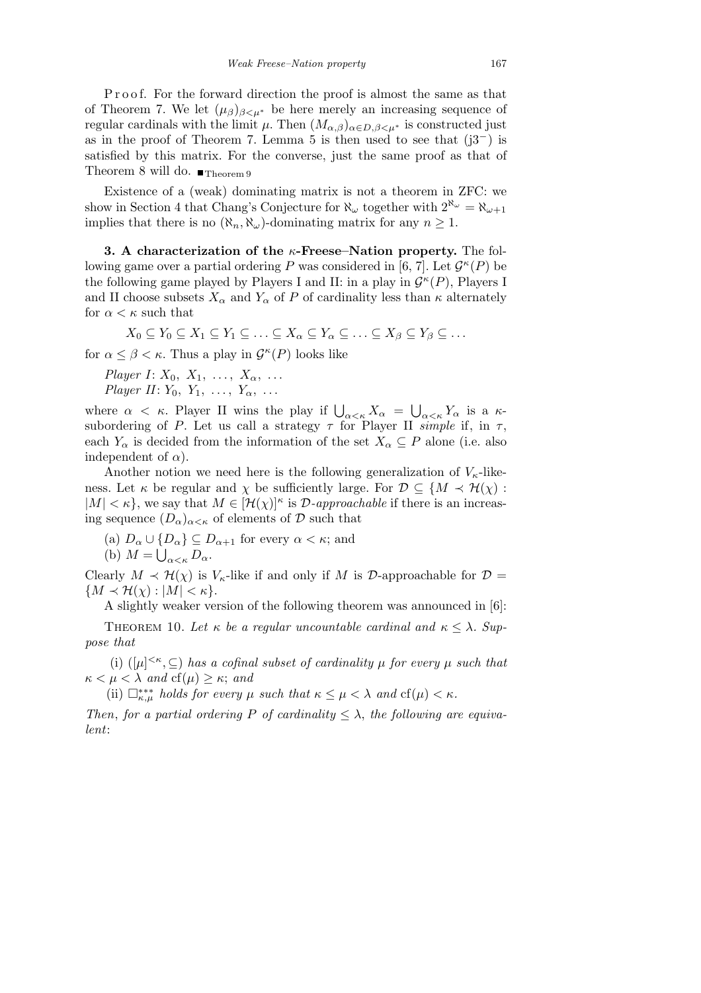Proof. For the forward direction the proof is almost the same as that of Theorem 7. We let  $(\mu_{\beta})_{\beta \leq \mu^*}$  be here merely an increasing sequence of regular cardinals with the limit  $\mu$ . Then  $(M_{\alpha,\beta})_{\alpha\in D,\beta<\mu^*}$  is constructed just as in the proof of Theorem 7. Lemma 5 is then used to see that (j3*<sup>−</sup>*) is satisfied by this matrix. For the converse, just the same proof as that of Theorem 8 will do.  $\blacksquare$ Theorem 9

Existence of a (weak) dominating matrix is not a theorem in ZFC: we show in Section 4 that Chang's Conjecture for  $\aleph_{\omega}$  together with  $2^{\aleph_{\omega}} = \aleph_{\omega+1}$ implies that there is no  $(\aleph_n, \aleph_\omega)$ -dominating matrix for any  $n \geq 1$ .

**3. A characterization of the** *κ***-Freese–Nation property.** The following game over a partial ordering *P* was considered in [6, 7]. Let  $\mathcal{G}^{\kappa}(P)$  be the following game played by Players I and II: in a play in  $\mathcal{G}^{\kappa}(P)$ , Players I and II choose subsets  $X_\alpha$  and  $Y_\alpha$  of *P* of cardinality less than  $\kappa$  alternately for  $\alpha < \kappa$  such that

 $X_0 \subseteq Y_0 \subseteq X_1 \subseteq Y_1 \subseteq \ldots \subseteq X_\alpha \subseteq Y_\alpha \subseteq \ldots \subseteq X_\beta \subseteq Y_\beta \subseteq \ldots$ 

for  $\alpha \leq \beta < \kappa$ . Thus a play in  $\mathcal{G}^{\kappa}(P)$  looks like

*Player I*:  $X_0$ ,  $X_1$ , ...,  $X_\alpha$ , ... *Player II*: *Y*<sub>0</sub>, *Y*<sub>1</sub>, ..., *Y*<sub>α</sub>, ...

where  $\alpha < \kappa$ . Player II wins the play if  $\bigcup_{\alpha < \kappa} X_{\alpha} =$ S *α<κ Y<sup>α</sup>* is a *κ*subordering of *P*. Let us call a strategy  $\tau$  for Player II *simple* if, in  $\tau$ , each  $Y_\alpha$  is decided from the information of the set  $X_\alpha \subseteq P$  alone (i.e. also independent of  $\alpha$ ).

Another notion we need here is the following generalization of  $V_{\kappa}$ -likeness. Let *κ* be regular and *χ* be sufficiently large. For  $\mathcal{D} \subseteq \{M \prec \mathcal{H}(\chi):$  $|M| < \kappa$ , we say that  $M \in [H(\chi)]^{\kappa}$  is *D-approachable* if there is an increasing sequence  $(D_{\alpha})_{\alpha<\kappa}$  of elements of  $\mathcal D$  such that

- $(D_{\alpha}) D_{\alpha} \cup \{D_{\alpha}\} \subseteq D_{\alpha+1}$  for every  $\alpha < \kappa$ ; and
- (b)  $M = \bigcup_{\alpha < \kappa} D_{\alpha}$ .

Clearly  $M \prec H(\chi)$  is  $V_{\kappa}$ -like if and only if M is  $\mathcal{D}$ -approachable for  $\mathcal{D} =$  ${M \times H(\chi): |M| < \kappa}.$ 

A slightly weaker version of the following theorem was announced in [6]:

THEOREM 10. Let  $\kappa$  be a regular uncountable cardinal and  $\kappa \leq \lambda$ . Sup*pose that*

(i)  $(|\mu|^{<\kappa}, \subseteq)$  *has a cofinal subset of cardinality*  $\mu$  *for every*  $\mu$  *such that*  $\kappa < \mu < \lambda$  *and*  $cf(\mu) \geq \kappa$ ; *and* 

(ii)  $\Box_{\kappa,\mu}^{***}$  *holds for every*  $\mu$  *such that*  $\kappa \leq \mu < \lambda$  *and*  $cf(\mu) < \kappa$ *.* 

*Then, for a partial ordering*  $P$  *of cardinality*  $\langle \lambda, \lambda \rangle$  *the following are equivalent*: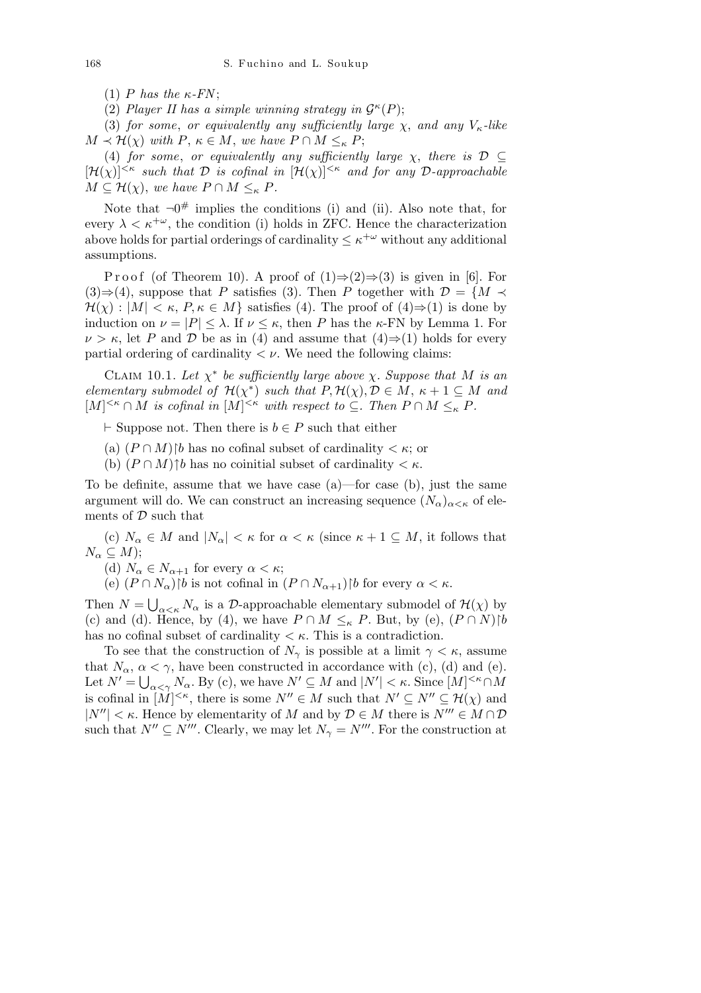(1) *P* has the  $\kappa$ -*FN*;

(2) *Player II has a simple winning strategy in*  $\mathcal{G}^{\kappa}(P)$ *;* 

(3) *for some*, *or equivalently any sufficiently large χ*, *and any Vκ-like*  $M \prec \mathcal{H}(\chi)$  *with*  $P, \kappa \in M$ , *we have*  $P \cap M \leq_{\kappa} P$ ;

(4) *for some, or equivalently any sufficiently large*  $\chi$ *, there is*  $\mathcal{D} \subseteq$  $[\mathcal{H}(\chi)]^{<\kappa}$  *such that*  $\mathcal{D}$  *is cofinal in*  $[\mathcal{H}(\chi)]^{<\kappa}$  *and for any*  $\mathcal{D}$ *-approachable*  $M \subseteq \mathcal{H}(\chi)$ , *we have*  $P \cap M \leq_{\kappa} P$ *.* 

Note that  $\neg 0^{\#}$  implies the conditions (i) and (ii). Also note that, for every  $\lambda < \kappa^{+\omega}$ , the condition (i) holds in ZFC. Hence the characterization above holds for partial orderings of cardinality  $\leq \kappa^{+\omega}$  without any additional assumptions.

P r o o f (of Theorem 10). A proof of  $(1) \Rightarrow (2) \Rightarrow (3)$  is given in [6]. For (3)⇒(4), suppose that *P* satisfies (3). Then *P* together with  $\mathcal{D} = \{M \prec$  $\mathcal{H}(\chi): |M| < \kappa$ ,  $P, \kappa \in M$ } satisfies (4). The proof of (4) $\Rightarrow$ (1) is done by induction on  $\nu = |P| \leq \lambda$ . If  $\nu \leq \kappa$ , then *P* has the *κ*-FN by Lemma 1. For  $\nu > \kappa$ , let *P* and *D* be as in (4) and assume that (4) $\Rightarrow$ (1) holds for every partial ordering of cardinality  $\langle \nu \rangle$ . We need the following claims:

CLAIM 10.1. Let  $\chi^*$  be sufficiently large above  $\chi$ . Suppose that M is an *elementary submodel of*  $\mathcal{H}(\chi^*)$  *such that*  $P, \mathcal{H}(\chi), \mathcal{D} \in M$ ,  $\kappa + 1 \subseteq M$  *and*  $[M]^{<\kappa} \cap M$  is cofinal in  $[M]^{<\kappa}$  with respect to  $\subseteq$ *. Then*  $P \cap M \leq_{\kappa} P$ *.* 

 $⊩$  Suppose not. Then there is *b*  $∈$  *P* such that either

- (a)  $(P \cap M)$  *b* has no cofinal subset of cardinality  $\lt \kappa$ ; or
- (b)  $(P \cap M)$ <sup>†</sup>*b* has no coinitial subset of cardinality  $\lt \kappa$ .

To be definite, assume that we have case (a)—for case (b), just the same argument will do. We can construct an increasing sequence  $(N_\alpha)_{\alpha<\kappa}$  of elements of *D* such that

(c)  $N_\alpha \in M$  and  $|N_\alpha| < \kappa$  for  $\alpha < \kappa$  (since  $\kappa + 1 \subseteq M$ , it follows that  $N_{\alpha} \subseteq M$ ;

(d)  $N_{\alpha} \in N_{\alpha+1}$  for every  $\alpha < \kappa$ ;

 $(P \cap N_{\alpha})\backslash b$  is not cofinal in  $(P \cap N_{\alpha+1})\backslash b$  for every  $\alpha < \kappa$ .

Then  $N =$ S  $\alpha$ <sub>*α<k*</sub> *N<sub>α</sub>* is a *D*-approachable elementary submodel of  $\mathcal{H}(\chi)$  by (c) and (d). Hence, by (4), we have  $P \cap M \leq_{\kappa} P$ . But, by (e),  $(P \cap N)[b]$ has no cofinal subset of cardinality *< κ*. This is a contradiction.

To see that the construction of  $N_{\gamma}$  is possible at a limit  $\gamma < \kappa$ , assume that  $N_\alpha$ ,  $\alpha < \gamma$ , have been constructed in accordance with (c), (d) and (e). Let  $N' = \bigcup_{\alpha < \gamma} N_{\alpha}$ . By (c), we have  $N' \subseteq M$  and  $|N'| < \kappa$ . Since  $[M]^{<\kappa} \cap M$ is cofinal in  $[M]^{<\kappa}$ , there is some  $N'' \in M$  such that  $N' \subseteq N'' \subseteq \mathcal{H}(\chi)$  and  $|N''| < \kappa$ . Hence by elementarity of *M* and by  $\mathcal{D} \in M$  there is  $N''' \in M \cap \mathcal{D}$ such that  $N'' \subseteq N'''$ . Clearly, we may let  $N_{\gamma} = N'''$ . For the construction at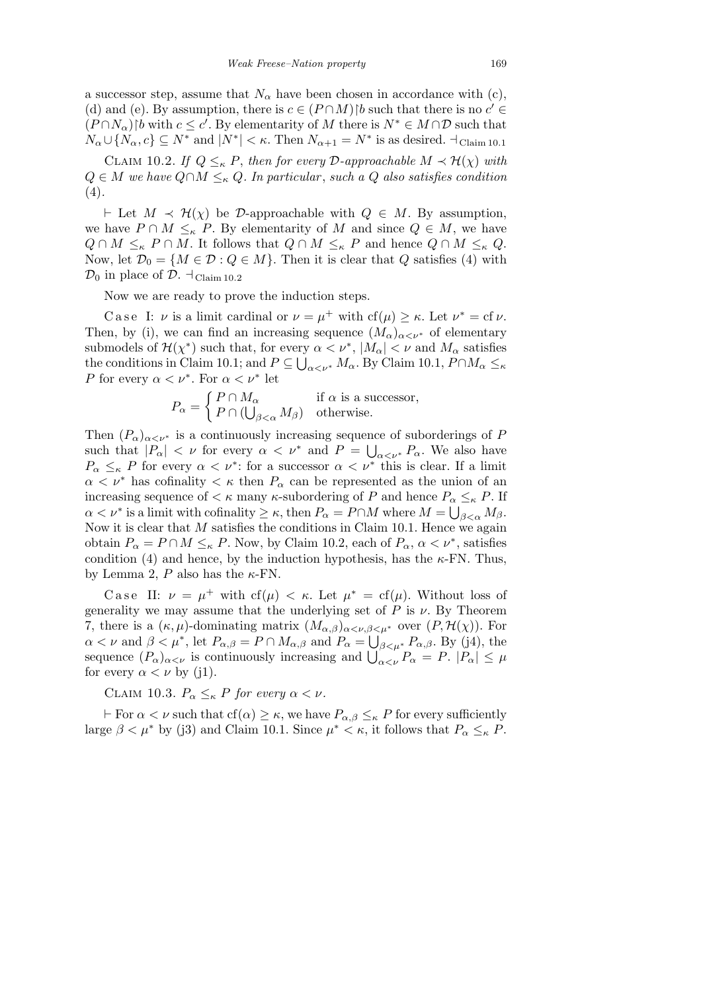a successor step, assume that  $N_\alpha$  have been chosen in accordance with (c), (d) and (e). By assumption, there is  $c \in (P \cap M)$  *b* such that there is no  $c' \in$  $(P \cap N_\alpha)$ <sup>*b*</sup> with  $c \leq c'$ . By elementarity of *M* there is  $N^* \in M \cap \mathcal{D}$  such that  $N_{\alpha} \cup \{N_{\alpha}, c\} \subseteq N^*$  and  $|N^*| < \kappa$ . Then  $N_{\alpha+1} = N^*$  is as desired.  $\dots \dagger_{\text{Claim 10.1}}$ 

CLAIM 10.2. *If*  $Q \leq_{\kappa} P$ , *then for every*  $\mathcal{D}$ *-approachable*  $M \prec \mathcal{H}(\chi)$  *with*  $Q ∈ M$  *we have*  $Q ∩ M ≤_κ Q$ *. In particular, such a*  $Q$  *also satisfies condition* (4)*.*

*⊢* Let *M*  $\prec$  *H*(*χ*) be *D*-approachable with *Q*  $\in$  *M*. By assumption, we have  $P \cap M \leq_{\kappa} P$ . By elementarity of M and since  $Q \in M$ , we have  $Q \cap M \leq_K P \cap M$ . It follows that  $Q \cap M \leq_K P$  and hence  $Q \cap M \leq_K Q$ . Now, let  $\mathcal{D}_0 = \{M \in \mathcal{D} : Q \in M\}$ . Then it is clear that *Q* satisfies (4) with  $\mathcal{D}_0$  in place of  $\mathcal{D}$ .  $\dashv_{\text{Claim 10.2}}$ 

Now we are ready to prove the induction steps.

Case I: *ν* is a limit cardinal or  $\nu = \mu^+$  with cf( $\mu$ )  $\geq \kappa$ . Let  $\nu^* = c f \nu$ . Then, by (i), we can find an increasing sequence  $(M_\alpha)_{\alpha<\nu^*}$  of elementary submodels of  $\mathcal{H}(\chi^*)$  such that, for every  $\alpha < \nu^*$ ,  $|M_\alpha| < \nu$  and  $M_\alpha$  satisfies the conditions in Claim 10.1; and  $P \subseteq \bigcup_{\alpha < \nu^*} M_\alpha$ . By Claim 10.1,  $P \cap M_\alpha \leq_{\kappa}$ *P* for every  $\alpha < \nu^*$ . For  $\alpha < \nu^*$  let

$$
P_{\alpha} = \begin{cases} P \cap M_{\alpha} & \text{if } \alpha \text{ is a successor,} \\ P \cap (\bigcup_{\beta < \alpha} M_{\beta}) & \text{otherwise.} \end{cases}
$$

Then  $(P_\alpha)_{\alpha<\nu^*}$  is a continuously increasing sequence of suborderings of *P* such that  $|P_{\alpha}| < \nu$  for every  $\alpha < \nu^*$  and  $P = \bigcup_{\alpha < \nu^*} P_{\alpha}$ . We also have  $P_{\alpha} \leq_{\kappa} P$  for every  $\alpha < \nu^*$ : for a successor  $\alpha < \nu^*$  this is clear. If a limit  $\alpha < \nu^*$  has cofinality  $\lt \kappa$  then  $P_\alpha$  can be represented as the union of an increasing sequence of  $\lt \kappa$  many  $\kappa$ -subordering of *P* and hence  $P_\alpha \leq_\kappa P$ . If  $\alpha < \nu^*$  is a limit with cofinality  $\geq \kappa$ , then  $P_\alpha = P \cap M$  where  $M = \bigcup_{\beta < \alpha} M_\beta$ . Now it is clear that *M* satisfies the conditions in Claim 10.1. Hence we again obtain  $P_{\alpha} = P \cap M \leq_{\kappa} P$ . Now, by Claim 10.2, each of  $P_{\alpha}$ ,  $\alpha < \nu^*$ , satisfies condition (4) and hence, by the induction hypothesis, has the  $\kappa$ -FN. Thus, by Lemma 2, *P* also has the *κ*-FN.

Case II:  $\nu = \mu^+$  with cf( $\mu$ )  $\lt \kappa$ . Let  $\mu^* = cf(\mu)$ . Without loss of generality we may assume that the underlying set of  $P$  is  $\nu$ . By Theorem 7, there is a  $(\kappa, \mu)$ -dominating matrix  $(M_{\alpha,\beta})_{\alpha<\nu,\beta<\mu^*}$  over  $(P, \mathcal{H}(\chi))$ . For  $\alpha < \nu$  and  $\beta < \mu^*$ , let  $P_{\alpha,\beta} = P \cap M_{\alpha,\beta}$  and  $P_{\alpha} = \bigcup_{\beta < \mu^*} P_{\alpha,\beta}$ . By (j4), the  $\alpha < \nu$  and  $\rho < \mu$ , let  $r_{\alpha,\beta} = r \cap M_{\alpha,\beta}$  and  $r_{\alpha} = \bigcup_{\beta < \mu^*} r_{\alpha,\beta}$ . By (J4), the sequence  $(P_{\alpha})_{\alpha < \nu}$  is continuously increasing and  $\bigcup_{\alpha < \nu}^{\beta} P_{\alpha} = P$ .  $|P_{\alpha}| \leq \mu$ for every  $\alpha < \nu$  by (j1).

CLAIM 10.3.  $P_{\alpha} \leq_{\kappa} P$  *for every*  $\alpha < \nu$ .

*i* For  $\alpha < \nu$  such that cf( $\alpha$ )  $\geq \kappa$ , we have  $P_{\alpha,\beta} \leq_{\kappa} P$  for every sufficiently large  $\beta < \mu^*$  by (j3) and Claim 10.1. Since  $\mu^* < \kappa$ , it follows that  $P_\alpha \leq_\kappa P$ .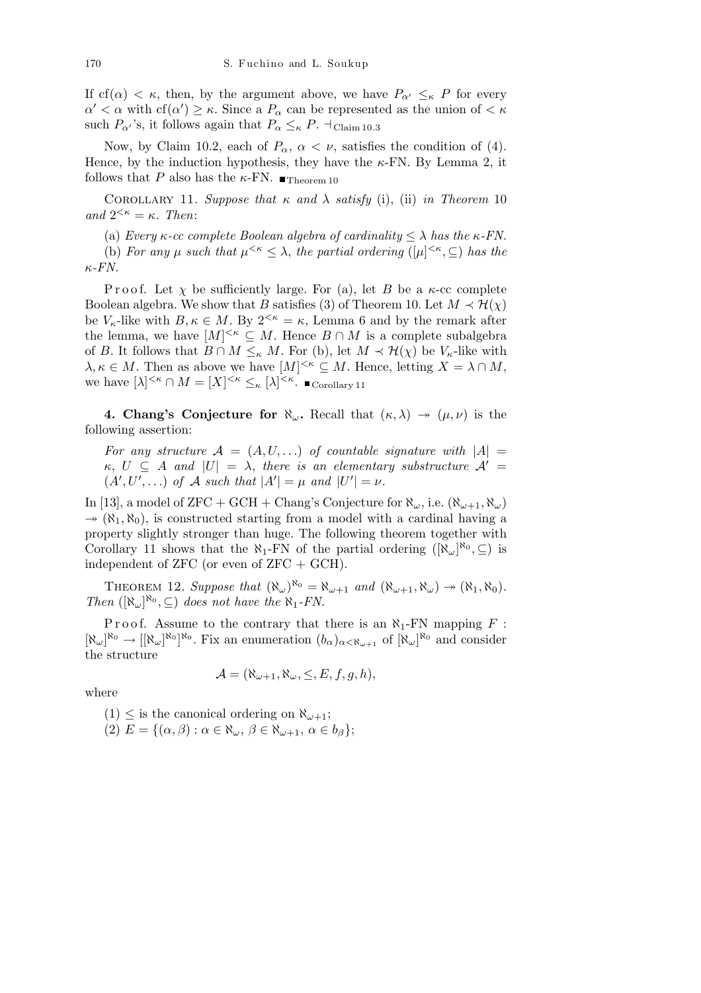If cf( $\alpha$ )  $\lt$   $\kappa$ , then, by the argument above, we have  $P_{\alpha}$ <sup>*l*</sup>  $\leq$ <sub>*k*</sub> *P* for every  $\alpha' < \alpha$  with cf( $\alpha'$ )  $\geq \kappa$ . Since a  $P_{\alpha}$  can be represented as the union of  $\lt \kappa$ such  $P_{\alpha}$ <sup>*'*</sup>s, it follows again that  $P_{\alpha} \leq_{\kappa} P$ .  $\dots$  Claim 10.3

Now, by Claim 10.2, each of  $P_\alpha$ ,  $\alpha < \nu$ , satisfies the condition of (4). Hence, by the induction hypothesis, they have the *κ*-FN. By Lemma 2, it follows that *P* also has the *κ*-FN.  $\blacksquare$ <sub>Theorem 10</sub>

COROLLARY 11. *Suppose that*  $\kappa$  *and*  $\lambda$  *satisfy* (i), (ii) *in Theorem* 10 *and*  $2^{<\kappa} = \kappa$ *. Then:* 

(a) *Every*  $\kappa$ -cc complete Boolean algebra of cardinality  $\leq \lambda$  has the  $\kappa$ -*FN*.

(b) *For any*  $\mu$  *such that*  $\mu^{<\kappa} \leq \lambda$ , *the partial ordering* ( $|\mu|^{<\kappa}$ ,  $\subseteq$ ) *has the κ-FN.*

Proof. Let  $\chi$  be sufficiently large. For (a), let *B* be a  $\kappa$ -cc complete Boolean algebra. We show that *B* satisfies (3) of Theorem 10. Let  $M \prec H(\chi)$ be  $V_{\kappa}$ -like with  $B, \kappa \in M$ . By  $2^{<\kappa} = \kappa$ , Lemma 6 and by the remark after the lemma, we have  $[M]^{<\kappa} \subseteq M$ . Hence  $B \cap M$  is a complete subalgebra of *B*. It follows that  $B \cap M \leq_{\kappa} M$ . For (b), let  $M \prec H(\chi)$  be  $V_{\kappa}$ -like with  $\lambda, \kappa \in M$ . Then as above we have  $[M]^{<\kappa} \subseteq M$ . Hence, letting  $X = \lambda \cap M$ , we have  $[\lambda]^{<\kappa} \cap M = [X]^{<\kappa} \leq_{\kappa} [\lambda]^{<\kappa}$ . Corollary 11

**4. Chang's Conjecture for**  $\aleph_{\omega}$ . Recall that  $(\kappa, \lambda) \rightarrow (\mu, \nu)$  is the following assertion:

For any structure  $A = (A, U, ...)$  of countable signature with  $|A|$  $\kappa$ ,  $U \subseteq A$  *and*  $|U| = \lambda$ , *there is an elementary substructure*  $\mathcal{A}' =$  $(A', U', \ldots)$  *of*  $A$  *such that*  $|A'| = \mu$  *and*  $|U'| = \nu$ .

In [13], a model of ZFC + GCH + Chang's Conjecture for  $\aleph_{\omega}$ , i.e.  $(\aleph_{\omega+1}, \aleph_{\omega})$  $\rightarrow (\aleph_1, \aleph_0)$ , is constructed starting from a model with a cardinal having a property slightly stronger than huge. The following theorem together with Corollary 11 shows that the  $\aleph_1$ -FN of the partial ordering  $([\aleph_\omega]^{\aleph_0}, \subseteq)$  is independent of  $ZFC$  (or even of  $ZFC + GCH$ ).

THEOREM 12. Suppose that  $(\aleph_{\omega})^{\aleph_0} = \aleph_{\omega+1}$  and  $(\aleph_{\omega+1}, \aleph_{\omega}) \rightarrow (\aleph_1, \aleph_0)$ . *Then*  $([\aleph_{\omega}]^{\aleph_0}, \subseteq)$  *does not have the*  $\aleph_1$ *-FN.* 

Proof. Assume to the contrary that there is an  $\aleph_1$ -FN mapping  $F$ :  $[\aleph_{\omega}]^{\aleph_0} \to [[\aleph_{\omega}]^{\aleph_0}]^{\aleph_0}$ . Fix an enumeration  $(b_{\alpha})_{\alpha < \aleph_{\omega+1}}$  of  $[\aleph_{\omega}]^{\aleph_0}$  and consider the structure

$$
\mathcal{A} = (\aleph_{\omega+1}, \aleph_{\omega}, \leq, E, f, g, h),
$$

where

 $(1) \leq$  is the canonical ordering on  $\aleph_{\omega+1}$ ;

 $(E)$   $E = \{(\alpha, \beta) : \alpha \in \aleph_\omega, \beta \in \aleph_{\omega+1}, \alpha \in b_\beta\};\$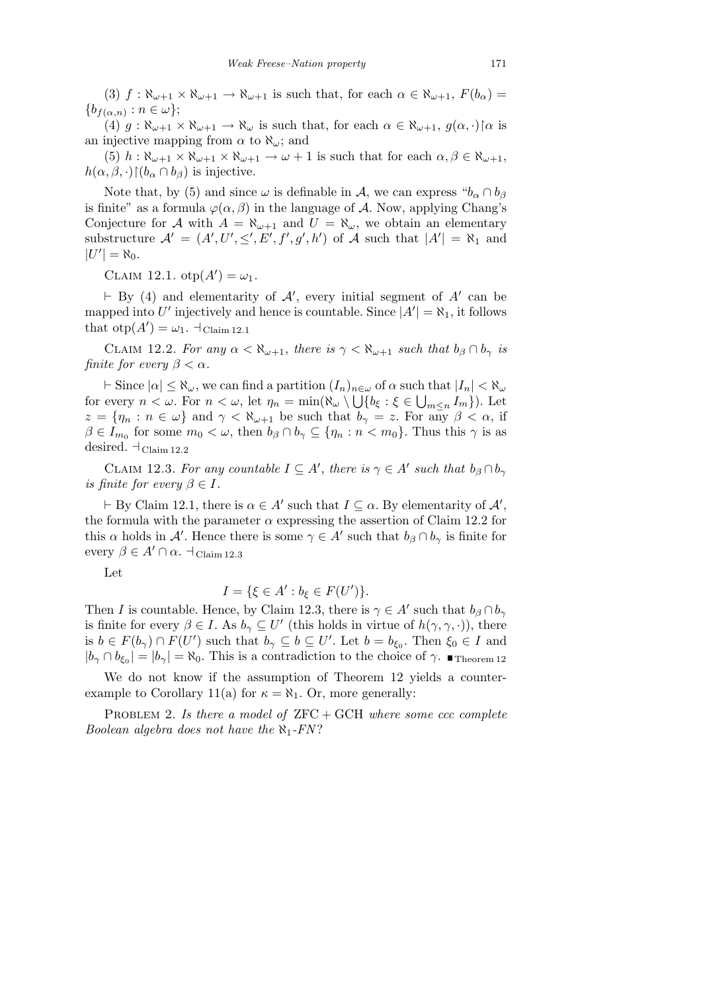(3)  $f: \aleph_{\omega+1} \times \aleph_{\omega+1} \to \aleph_{\omega+1}$  is such that, for each  $\alpha \in \aleph_{\omega+1}$ ,  $F(b_{\alpha}) =$  ${b_{f(\alpha,n)} : n \in \omega};$ 

 $(4)$   $g: \aleph_{\omega+1} \times \aleph_{\omega+1} \to \aleph_{\omega}$  is such that, for each  $\alpha \in \aleph_{\omega+1}$ ,  $g(\alpha, \cdot)$   $\alpha$  is an injective mapping from  $\alpha$  to  $\aleph_{\omega}$ ; and

 $(5)$  *h* :  $\aleph_{\omega+1} \times \aleph_{\omega+1} \times \aleph_{\omega+1} \to \omega + 1$  is such that for each  $\alpha, \beta \in \aleph_{\omega+1}$ ,  $h(\alpha, \beta, \cdot) \restriction (b_\alpha \cap b_\beta)$  is injective.

Note that, by (5) and since  $\omega$  is definable in *A*, we can express " $b_{\alpha} \cap b_{\beta}$ is finite" as a formula  $\varphi(\alpha, \beta)$  in the language of *A*. Now, applying Chang's Conjecture for *A* with  $A = \aleph_{\omega+1}$  and  $U = \aleph_{\omega}$ , we obtain an elementary substructure  $\mathcal{A}' = (A', U', \leq', E', f', g', h')$  of  $\mathcal{A}$  such that  $|A'| = \aleph_1$  and  $|U'| = \aleph_0$ .

CLAIM 12.1.  $otp(A') = \omega_1$ .

 $\vdash$  By (4) and elementarity of  $\mathcal{A}'$ , every initial segment of  $A'$  can be mapped into U' injectively and hence is countable. Since  $|A'| = \aleph_1$ , it follows that  $otp(A') = \omega_1$ .  $\exists$  Claim 12.1

CLAIM 12.2. *For any*  $\alpha < \aleph_{\omega+1}$ , *there is*  $\gamma < \aleph_{\omega+1}$  *such that*  $b_{\beta} \cap b_{\gamma}$  *is finite for every*  $\beta < \alpha$ *.* 

 $\vdash$  Since  $|\alpha| \leq \aleph_\omega$ , we can find a partition  $(I_n)_{n \in \omega}$  of  $\alpha$  such that  $|I_n| < \aleph_\omega$ for every  $n < \omega$ . For  $n < \omega$ , let  $\eta_n = \min(\aleph_\omega \setminus \bigcup \{b_\xi : \xi \in \bigcup_{m \leq n} I_m\})$ . Let  $z = \{\eta_n : n \in \omega\}$  and  $\gamma < \aleph_{\omega+1}$  be such that  $b_\gamma = z$ . For any  $\beta < \alpha$ , if  $\beta \in I_{m_0}$  for some  $m_0 < \omega$ , then  $b_\beta \cap b_\gamma \subseteq \{\eta_n : n < m_0\}$ . Thus this  $\gamma$  is as desired.  $\mathcal{A}_{\text{Claim 12.2}}$ 

CLAIM 12.3. *For any countable*  $I \subseteq A'$ , *there is*  $\gamma \in A'$  *such that*  $b_{\beta} \cap b_{\gamma}$ *is finite for every*  $\beta \in I$ *.* 

 $\vdash$  By Claim 12.1, there is  $\alpha \in A'$  such that  $I \subseteq \alpha$ . By elementarity of  $A'$ , the formula with the parameter  $\alpha$  expressing the assertion of Claim 12.2 for this  $\alpha$  holds in  $\mathcal{A}'$ . Hence there is some  $\gamma \in \mathcal{A}'$  such that  $b_{\beta} \cap b_{\gamma}$  is finite for every  $\beta \in A' \cap \alpha$ .  $\dashv_{\text{Claim 12.3}}$ 

Let

$$
I = \{ \xi \in A' : b_{\xi} \in F(U') \}.
$$

Then *I* is countable. Hence, by Claim 12.3, there is  $\gamma \in A'$  such that  $b_{\beta} \cap b_{\gamma}$ is finite for every  $\beta \in I$ . As  $b_{\gamma} \subseteq U'$  (this holds in virtue of  $h(\gamma, \gamma, \cdot)$ ), there is  $b \in F(b_\gamma) \cap F(U')$  such that  $b_\gamma \subseteq b \subseteq U'$ . Let  $b = b_{\xi_0}$ . Then  $\xi_0 \in I$  and  $|b_{\gamma} \cap b_{\xi_0}| = |b_{\gamma}| = \aleph_0$ . This is a contradiction to the choice of  $\gamma$ .  $\blacksquare$ Theorem 12

We do not know if the assumption of Theorem 12 yields a counterexample to Corollary 11(a) for  $\kappa = \aleph_1$ . Or, more generally:

PROBLEM 2. *Is there a model of*  $ZFC + GCH$  *where some ccc complete Boolean algebra does not have the ℵ*1*-FN* ?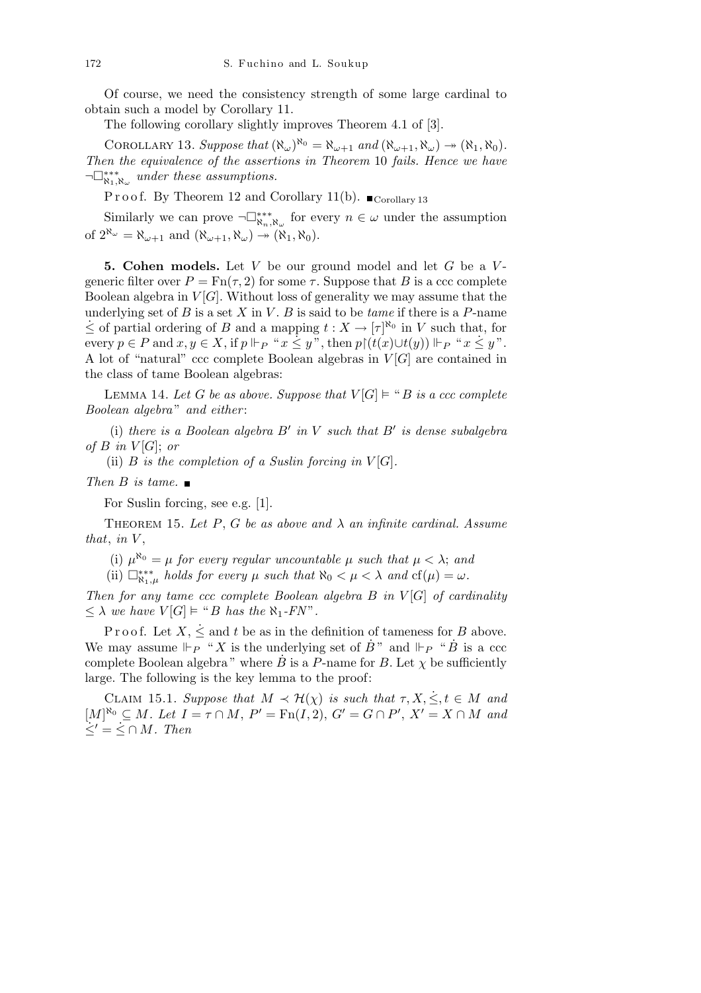Of course, we need the consistency strength of some large cardinal to obtain such a model by Corollary 11.

The following corollary slightly improves Theorem 4.1 of [3].

COROLLARY 13. Suppose that  $(\aleph_{\omega})^{\aleph_0} = \aleph_{\omega+1}$  and  $(\aleph_{\omega+1}, \aleph_{\omega}) \rightarrow (\aleph_1, \aleph_0)$ . *Then the equivalence of the assertions in Theorem* 10 *fails. Hence we have ¬*¤*∗∗∗ ℵ*1*,ℵ<sup>ω</sup> under these assumptions.*

P r o o f. By Theorem 12 and Corollary 11(b).  $\blacksquare$  Corollary 13

Similarly we can prove  $\neg\Box_{\aleph_n,\aleph_\omega}^{**}$  for every  $n \in \omega$  under the assumption of  $2^{\aleph_{\omega}} = \aleph_{\omega+1}$  and  $(\aleph_{\omega+1}, \aleph_{\omega}) \rightarrow (\aleph_1, \aleph_0)$ .

**5. Cohen models.** Let *V* be our ground model and let *G* be a *V* generic filter over  $P = \text{Fn}(\tau, 2)$  for some  $\tau$ . Suppose that *B* is a ccc complete Boolean algebra in  $V[G]$ . Without loss of generality we may assume that the underlying set of  $B$  is a set  $X$  in  $V$ .  $B$  is said to be *tame* if there is a  $P$ -name  $\leq$  of partial ordering of *B* and a mapping *t* : *X* →  $[τ]$ <sup> $\n$  $\uparrow$ <sup>*n*</sup> $\circ$ </sup> in *V* such that, for every  $p \in P$  and  $x, y \in X$ , if  $p \Vdash_{P} "x \leq y"$ , then  $p \upharpoonright (t(x) \cup t(y)) \Vdash_{P} "x \leq y"$ . A lot of "natural" ccc complete Boolean algebras in *V* [*G*] are contained in the class of tame Boolean algebras:

LEMMA 14. Let *G* be as above. Suppose that  $V[G] \models "B$  is a ccc complete *Boolean algebra* " *and either* :

(i) *there is a Boolean algebra*  $B'$  *in*  $V$  *such that*  $B'$  *is dense subalgebra of*  $B$  *in*  $V[G]$ ; *or* 

(ii)  $B$  *is the completion of a Suslin forcing in*  $V[G]$ *.* 

## *Then B is tame.*

For Suslin forcing, see e.g. [1].

THEOREM 15. Let  $P$ ,  $G$  be as above and  $\lambda$  an infinite cardinal. Assume *that*, *in V* ,

(i)  $\mu^{\aleph_0} = \mu$  *for every regular uncountable*  $\mu$  *such that*  $\mu < \lambda$ ; *and* 

(ii)  $\Box_{\aleph_1,\mu}^{**}$  *holds for every*  $\mu$  *such that*  $\aleph_0 < \mu < \lambda$  *and*  $cf(\mu) = \omega$ *.* 

*Then for any tame ccc complete Boolean algebra B in V* [*G*] *of cardinality*  $\leq \lambda$  *we have*  $V[G] \models ``B$  *has the*  $\aleph_1$ -*FN*".

P r o o f. Let  $X$ ,  $\leq$  and  $t$  be as in the definition of tameness for *B* above. We may assume  $\mathbb{F}_P^{\bullet}$  " X is the underlying set of  $\dot{B}$ " and  $\mathbb{F}_P$  "  $\dot{B}$  is a ccc complete Boolean algebra" where  $\dot{B}$  is a *P*-name for *B*. Let  $\chi$  be sufficiently large. The following is the key lemma to the proof:

CLAIM 15.1. *Suppose that*  $M \prec H(\chi)$  *is such that*  $\tau, X, \leq, t \in M$  *and*  $[M]^{\aleph_0} \subseteq M$ . Let  $I = \tau \cap M$ ,  $P' = \text{Fn}(I, 2)$ ,  $G' = G \cap P'$ ,  $X' = X \cap M$  and  $\dot{\le}$ <sup>*'*</sup> =  $\dot{\le}$  ∩ *M. Then*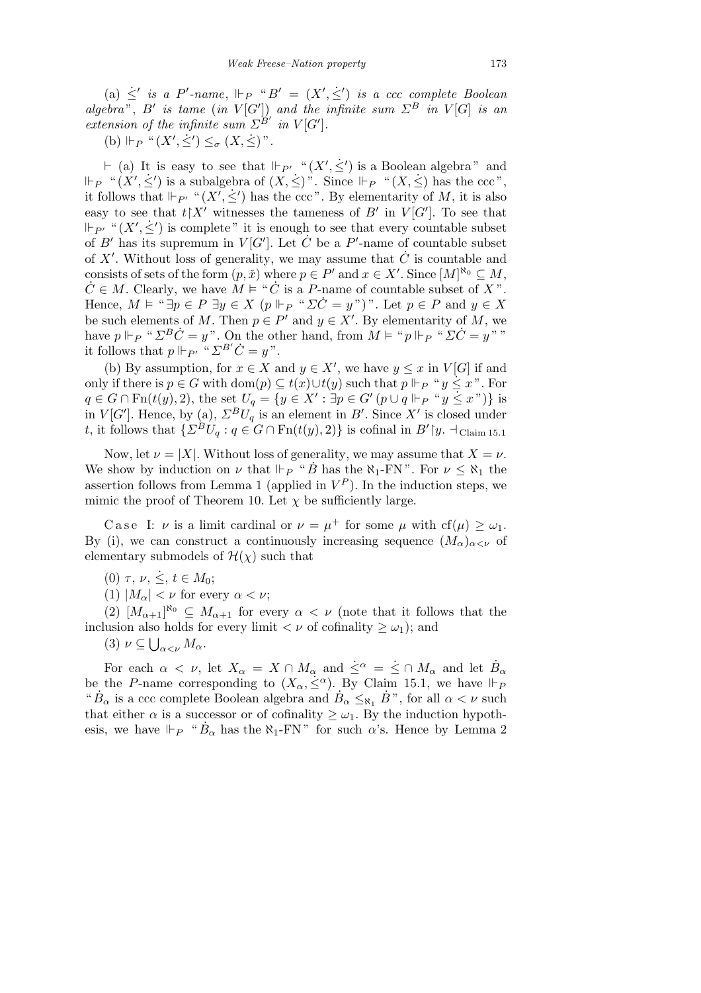$(a) \leq'$  *is a P*'-name,  $\Vdash_{P}$  " $B' = (X', \leq')$  *is a ccc complete Boolean algebra*", *B' is tame* (*in*  $V[G']$ ) *and the infinite sum*  $\Sigma^B$  *in*  $V[G]$  *is an extension of the infinite sum*  $\Sigma^{B'}$  *in*  $V[G']$ *.* 

 $(b)$   $\Vdash_{P}$  " $(X', \dot{\leq}') \leq_{\sigma} (X, \dot{\leq})$ ".

 $\vdash$  (a) It is easy to see that  $\Vdash_{P'}$  " $(X', \dot{\leq}')$  is a Boolean algebra" and  $\Vdash_{P}$  " $(X', \leq')$  is a subalgebra of  $(X, \leq')$ ". Since  $\Vdash_{P}$  " $(X, \leq')$  has the ccc", it follows that  $\Vdash_{P'}$  " $(X', \leq')$  has the ccc". By elementarity of *M*, it is also easy to see that  $t \upharpoonright X'$  witnesses the tameness of *B'* in  $V[G']$ . To see that  $P_{P'}$  " $(X', \leq')$  is complete" it is enough to see that every countable subset of *B*<sup>*i*</sup> has its supremum in *V* [*G*<sup>*'*</sup>]. Let  $\check{C}$  be a *P*<sup>*'*</sup>-name of countable subset of  $X'$ . Without loss of generality, we may assume that  $\dot{C}$  is countable and consists of sets of the form  $(p, \tilde{x})$  where  $p \in P'$  and  $x \in X'$ . Since  $[M]^{\aleph_0} \subseteq M$ ,  $\dot{C} \in M$ . Clearly, we have  $\dot{M} \models ``\dot{C}$  is a *P*-name of countable subset of X". Hence,  $M \models ``\exists p \in P \exists y \in X (p \Vdash_{P} " \Sigma \dot{C} = y")$ ". Let  $p \in P$  and  $y \in X$ be such elements of *M*. Then  $p \in P'$  and  $y \in X'$ . By elementarity of *M*, we have  $p \Vdash_{P}$  "  $\Sigma^B \dot{C} = y$ ". On the other hand, from  $\dot{M} \models$  " $p \Vdash_{P}$  "  $\Sigma \dot{C} = y$ " " it follows that  $p \Vdash_{P'} \lvert \lvert^a \sum^{B'} \dot{C} = y \rvert^n$ .

(b) By assumption, for  $x \in X$  and  $y \in X'$ , we have  $y \leq x$  in  $V[G]$  if and only if there is *p* ∈ *G* with dom(*p*)  $\subseteq$  *t*(*x*)*∪t*(*y*) such that *p*  $\Vdash$ *P* "*y*  $\leq$  *x*". For  $q \in G \cap \text{Fn}(t(y), 2)$ , the set  $U_q = \{y \in X' : \exists p \in G' (p \cup q \Vdash_{P} "y \leq x")\}$  is in *V*[*G'*]. Hence, by (a),  $\Sigma^B U_q$  is an element in *B'*. Since *X'* is closed under *t*, it follows that  $\{ \Sigma^B U_q : q \in G \cap \text{Fn}(t(y), 2) \}$  is cofinal in  $B' \mid y. \dashv_{\text{Claim 15.1}}$ 

Now, let  $\nu = |X|$ . Without loss of generality, we may assume that  $X = \nu$ . We show by induction on *ν* that  $\Vdash_{P}$  "*B* has the  $\aleph_{1}$ -FN". For  $\nu \leq \aleph_{1}$  the assertion follows from Lemma 1 (applied in  $V^P$ ). In the induction steps, we mimic the proof of Theorem 10. Let  $\chi$  be sufficiently large.

Case I: *ν* is a limit cardinal or  $\nu = \mu^+$  for some  $\mu$  with cf( $\mu$ )  $\geq \omega_1$ . By (i), we can construct a continuously increasing sequence  $(M_\alpha)_{\alpha<\nu}$  of elementary submodels of  $\mathcal{H}(\chi)$  such that

(0) *τ*, *ν*,  $\dot{\le}$ , *t*  $\in$  *M*<sub>0</sub>;

(1)  $|M_{\alpha}| < \nu$  for every  $\alpha < \nu$ ;

(2)  $[M_{\alpha+1}]^{\aleph_0} \subseteq M_{\alpha+1}$  for every  $\alpha < \nu$  (note that it follows that the inclusion also holds for every limit  $\langle \nu \rangle$  of cofinality  $\geq \omega_1$ ); and

 $(3)$   $\nu \subseteq \bigcup_{\alpha < \nu} M_{\alpha}.$ 

For each  $\alpha < \nu$ , let  $X_{\alpha} = X \cap M_{\alpha}$  and  $\dot{\le}^{\alpha} = \dot{\le} \cap M_{\alpha}$  and let  $\dot{B}_{\alpha}$  be the *P*-name corresponding to  $(X_{\alpha}, \dot{\le}^{\alpha})$ . By Claim 15.1, we have  $\Vdash_{P}$ " $B_{\alpha}$  is a ccc complete Boolean algebra and  $B_{\alpha} \leq_{\aleph_1} B$ ", for all  $\alpha < \nu$  such that either  $\alpha$  is a successor or of cofinality  $\geq \omega_1$ . By the induction hypothesis, we have  $\Vdash_{P}$  " $\dot{B}_{\alpha}$  has the  $\aleph_{1}$ -FN" for such  $\alpha$ 's. Hence by Lemma 2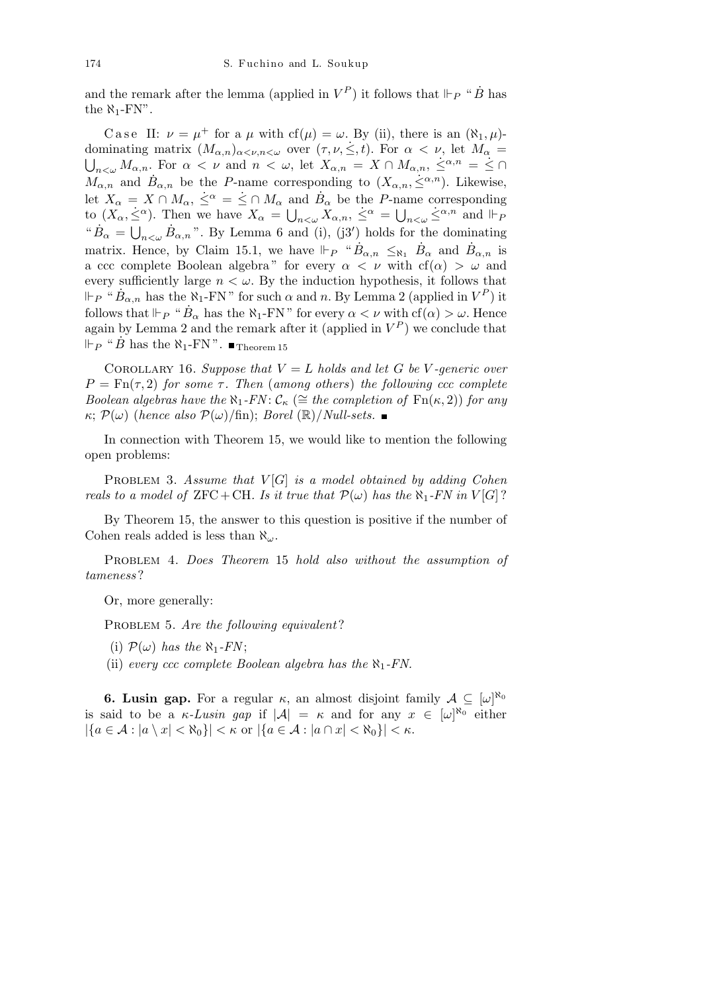and the remark after the lemma (applied in  $V^P$ ) it follows that  $\Vdash_P$  " $\dot{B}$  has the  $\aleph_1$ -FN".

Case II:  $\nu = \mu^+$  for a  $\mu$  with cf( $\mu$ ) =  $\omega$ . By (ii), there is an ( $\aleph_1, \mu$ )dominating matrix  $(M_{\alpha,n})_{\alpha<\nu,n<\omega}$  over  $(\tau,\nu,\dot{\leq},t)$ . For  $\alpha<\nu$ , let  $M_{\alpha}$  $\bigcup_{n \leq \omega} M_{\alpha,n}$ . For  $\alpha < \nu$  and  $n < \omega$ , let  $X_{\alpha,n} = X \cap M_{\alpha,n}$ ,  $\leq^{\alpha,n} = \leq \cap$  $M_{\alpha,n}$  and  $\dot{B}_{\alpha,n}$  be the *P*-name corresponding to  $(X_{\alpha,n}, \dot{\leq}^{\alpha,n})$ . Likewise, let  $X_{\alpha} = X \cap M_{\alpha}, \leq^{\alpha} = \leq \cap M_{\alpha}$  and  $B_{\alpha}$  be the *P*-name corresponding to  $(X_\alpha, \leq^\alpha)$ . Then we have  $X_\alpha = \bigcup_{n<\omega} X_{\alpha,n}$ ,  $\leq^\alpha = \bigcup_{n<\omega} \leq^{\alpha,n}$  and  $\Vdash_F$  $"B_{\alpha} =$  $\bigcup_{n<\omega} \dot{B}_{\alpha,n}$ ". By Lemma 6 and (i), (j3') holds for the dominating matrix. Hence, by Claim 15.1, we have  $\Vdash_{P}$  " $\dot{B}_{\alpha,n} \leq_{\aleph_1} \dot{B}_{\alpha}$  and  $\dot{B}_{\alpha,n}$  is a ccc complete Boolean algebra " for every  $\alpha < \nu$  with cf( $\alpha$ )  $> \omega$  and every sufficiently large  $n < \omega$ . By the induction hypothesis, it follows that  $P \circ \mu^* \dot{B}_{\alpha,n}$  has the  $\aleph_1$ -FN" for such  $\alpha$  and  $n$ . By Lemma 2 (applied in  $V^P$ ) it follows that  $\Vdash_P$  " $\dot{B}_\alpha$  has the  $\aleph_1$ -FN" for every  $\alpha < \nu$  with  $cf(\alpha) > \omega$ . Hence again by Lemma 2 and the remark after it (applied in  $V^P$ ) we conclude that  $\Vdash_{P}$  "  $\dot{B}$  has the  $\aleph_1$ -FN".  $\blacksquare$  Theorem 15

COROLLARY 16. *Suppose that*  $V = L$  *holds and let*  $G$  *be*  $V$ -generic over  $P = \text{Fn}(\tau, 2)$  *for some*  $\tau$ *. Then* (*among others*) *the following ccc complete Boolean algebras have the*  $\aleph_1$ -*FN*:  $\mathcal{C}_{\kappa}$  ( $\cong$  *the completion of*  $\text{Fn}(\kappa, 2)$ ) *for any*  $\kappa$ ;  $\mathcal{P}(\omega)$  (*hence also*  $\mathcal{P}(\omega)/\text{fin}$ ); *Borel* (R)/*Null-sets.* 

In connection with Theorem 15, we would like to mention the following open problems:

Problem 3. *Assume that V* [*G*] *is a model obtained by adding Cohen reals to a model of*  $ZFC + CH$ *. Is it true that*  $\mathcal{P}(\omega)$  *has the*  $\aleph_1$ *-FN* in  $V[G]$ ?

By Theorem 15, the answer to this question is positive if the number of Cohen reals added is less than *ℵω*.

Problem 4. *Does Theorem* 15 *hold also without the assumption of tameness* ?

Or, more generally:

PROBLEM 5. *Are the following equivalent*?

- (i)  $\mathcal{P}(\omega)$  *has the*  $\aleph_1$ *-FN*;
- (ii) *every ccc complete Boolean algebra has the ℵ*1*-FN.*

**6. Lusin gap.** For a regular  $\kappa$ , an almost disjoint family  $\mathcal{A} \subseteq [\omega]^{\aleph_0}$ is said to be a *κ*-Lusin gap if  $|A| = \kappa$  and for any  $x \in [\omega]^{\aleph_0}$  either  $|\{a \in \mathcal{A} : |a \setminus x| < \aleph_0\}| < \kappa$  or  $|\{a \in \mathcal{A} : |a \cap x| < \aleph_0\}| < \kappa$ .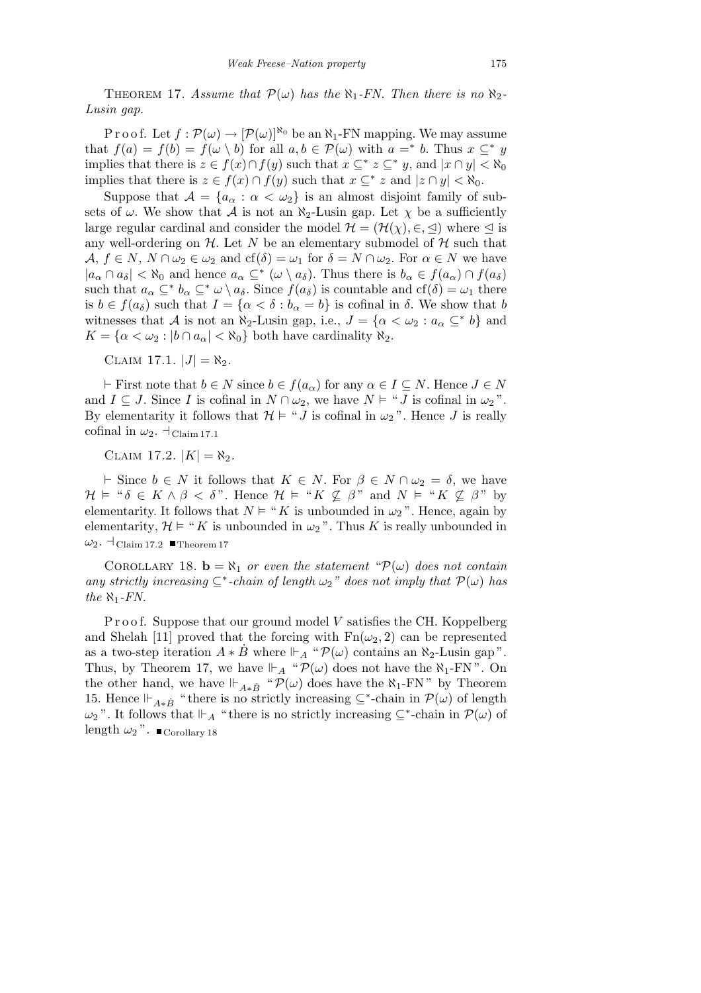THEOREM 17. *Assume that*  $\mathcal{P}(\omega)$  *has the*  $\aleph_1$ -*FN. Then there is no*  $\aleph_2$ -*Lusin gap.*

P r o o f. Let  $f : \mathcal{P}(\omega) \to [\mathcal{P}(\omega)]^{\aleph_0}$  be an  $\aleph_1$ -FN mapping. We may assume that  $f(a) = f(b) = f(\omega \setminus b)$  for all  $a, b \in \mathcal{P}(\omega)$  with  $a =^* b$ . Thus  $x \subseteq^* y$ implies that there is  $z \in f(x) \cap f(y)$  such that  $x \subseteq^* z \subseteq^* y$ , and  $|x \cap y| < \aleph_0$ implies that there is  $z \in f(x) \cap f(y)$  such that  $x \subseteq^* z$  and  $|z \cap y| < \aleph_0$ .

Suppose that  $A = \{a_{\alpha} : \alpha < \omega_2\}$  is an almost disjoint family of subsets of  $\omega$ . We show that *A* is not an  $\aleph_2$ -Lusin gap. Let  $\chi$  be a sufficiently large regular cardinal and consider the model  $\mathcal{H} = (\mathcal{H}(\chi), \in, \leq)$  where  $\leq$  is any well-ordering on  $H$ . Let *N* be an elementary submodel of  $H$  such that  $A, f \in N, N \cap \omega_2 \in \omega_2$  and  $cf(\delta) = \omega_1$  for  $\delta = N \cap \omega_2$ . For  $\alpha \in N$  we have  $|a_{\alpha} \cap a_{\delta}| < \aleph_0$  and hence  $a_{\alpha} \subseteq^* (\omega \setminus a_{\delta})$ . Thus there is  $b_{\alpha} \in f(a_{\alpha}) \cap f(a_{\delta})$ such that  $a_{\alpha} \subseteq^* b_{\alpha} \subseteq^* \omega \setminus a_{\delta}$ . Since  $f(a_{\delta})$  is countable and cf( $\delta$ ) =  $\omega_1$  there is  $b \in f(a_{\delta})$  such that  $I = \{ \alpha < \delta : b_{\alpha} = b \}$  is cofinal in  $\delta$ . We show that *b* witnesses that *A* is not an  $\aleph_2$ -Lusin gap, i.e.,  $J = {\alpha < \omega_2 : a_{\alpha} \subseteq^* b}$  and  $K = \{ \alpha < \omega_2 : |b \cap a_\alpha| < \aleph_0 \}$  both have cardinality  $\aleph_2$ .

 $CLAIM 17.1. |J| = \aleph_2.$ 

 $F$  First note that  $b \in N$  since  $b \in f(a_{\alpha})$  for any  $\alpha \in I \subseteq N$ . Hence  $J \in N$ and  $I \subseteq J$ . Since *I* is cofinal in  $N \cap \omega_2$ , we have  $N \models "J$  is cofinal in  $\omega_2$ ". By elementarity it follows that  $\mathcal{H} \models ``J$  is cofinal in  $\omega_2$ ". Hence *J* is really cofinal in  $\omega_2$ .  $\dashv_{\text{Claim 17.1}}$ 

 $CLAIM 17.2. |K| = \aleph_2.$ 

*⊢* Since *b*  $\in$  *N* it follows that *K*  $\in$  *N*. For  $\beta \in$  *N* ∩  $\omega_2 = \delta$ , we have  $\mathcal{H} \models$  " $\delta \in K \wedge \beta < \delta$ ". Hence  $\mathcal{H} \models$  " $K \nsubseteq \beta$ " and  $N \models$  " $K \nsubseteq \beta$ " by elementarity. It follows that  $N \models "K]$  is unbounded in  $\omega_2$ ". Hence, again by elementarity,  $\mathcal{H} \models$  "*K* is unbounded in  $\omega_2$ ". Thus *K* is really unbounded in  $\omega_2$ . <sup>1</sup>Claim 17.2 **Theorem 17** 

COROLLARY 18.  $\mathbf{b} = \aleph_1$  *or even the statement* " $\mathcal{P}(\omega)$  *does not contain any strictly increasing*  $\subseteq^*$ -*chain of length*  $\omega_2$ <sup>"</sup> does not *imply that*  $\mathcal{P}(\omega)$  *has the*  $\aleph_1$ *-FN.* 

P r o o f. Suppose that our ground model V satisfies the CH. Koppelberg and Shelah [11] proved that the forcing with  $Fn(\omega_2, 2)$  can be represented as a two-step iteration  $A * B$  where  $\mathbb{F}_A$  " $\mathcal{P}(\omega)$  contains an  $\aleph_2$ -Lusin gap". Thus, by Theorem 17, we have  $\mathbb{P}_A$  " $\mathcal{P}(\omega)$  does not have the  $\aleph_1$ -FN". On the other hand, we have  $\Vdash_{A*B}$  " $\mathcal{P}(\omega)$  does have the  $\aleph_1$ -FN" by Theorem 15. Hence  $\Vdash_{A*B}$  " there is no strictly increasing  $\subseteq^*$ -chain in  $\mathcal{P}(\omega)$  of length  $\omega_2$ <sup>"</sup>. It follows that  $\Vdash_A$  " there is no strictly increasing  $\subseteq^*$ -chain in  $\mathcal{P}(\omega)$  of length  $\omega_2$ ".  $\blacksquare$  Corollary 18